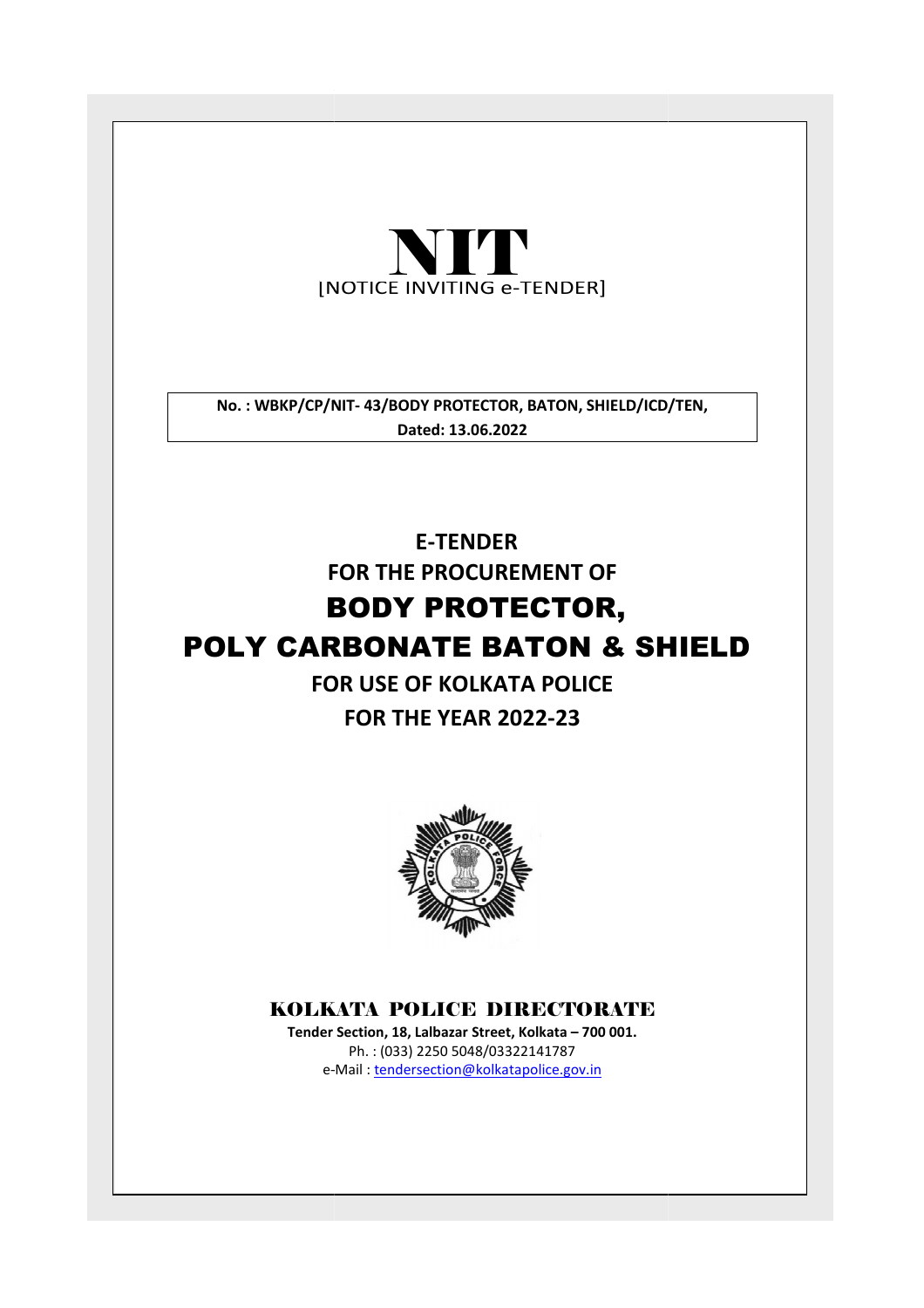

No.: WBKP/CP/NIT-43/BODY PROTECTOR, BATON, SHIELD/ICD/TEN, Dated: 13.06.2022

# FOR THE PROCUREMENT OF BODY PROTECTOR, POLY CARBONATE BATON & SHIELD E-TENDER

# FOR USE OF KOLKATA POLICE

# FOR THE YEAR 2022-23



# KOLKATA POLICE DIRECTORATE

Tender Section, 18, Lalbazar Street, Kolkata – 700 001. e-Mail: tendersection@kolkatapolice.gov.in Ph. : (033) 2250 5048/03322141787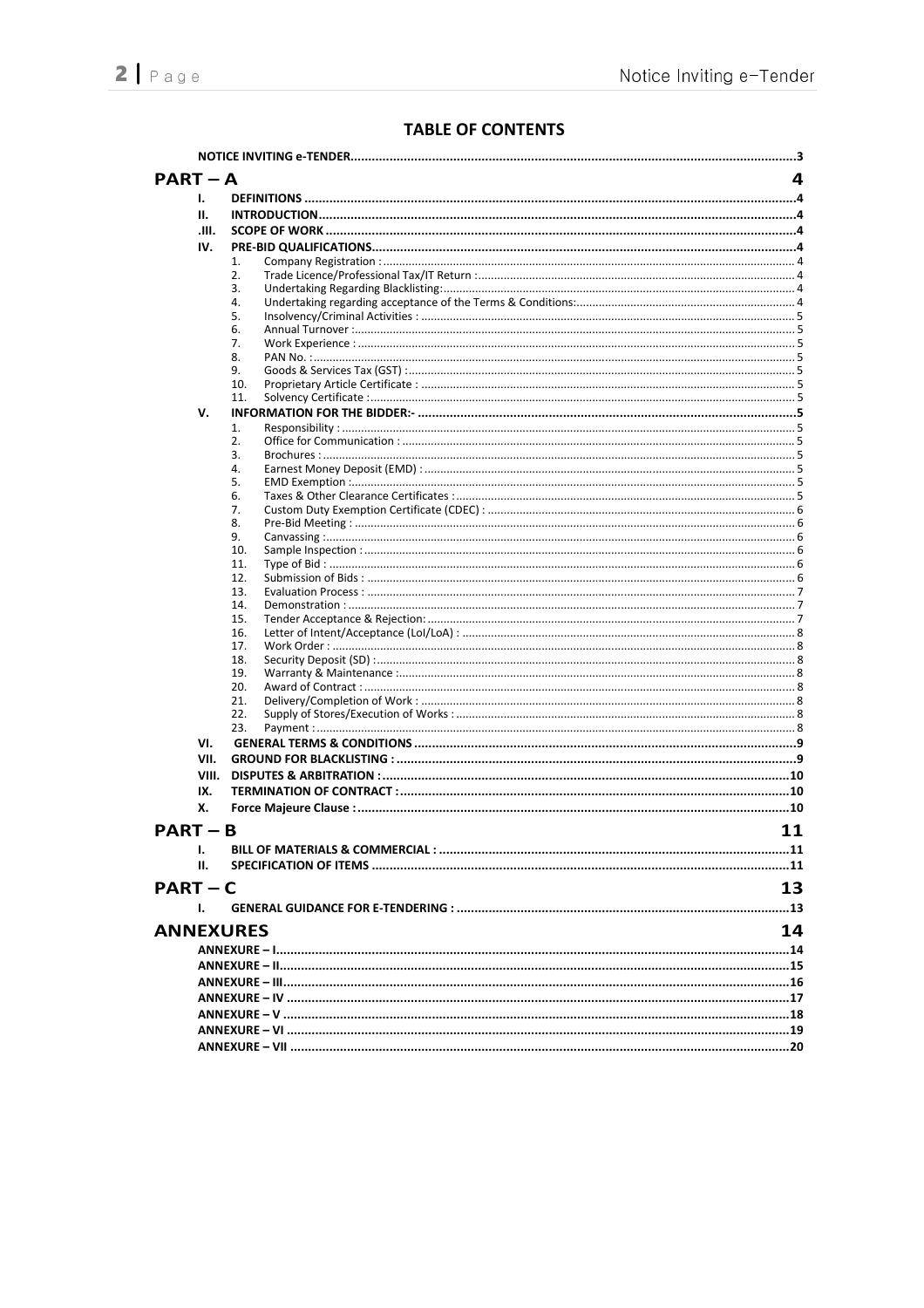# **TABLE OF CONTENTS**

| $PART - A$       |                                                                    | 4  |
|------------------|--------------------------------------------------------------------|----|
| 1.               |                                                                    |    |
| н.               |                                                                    |    |
| JIL.             |                                                                    |    |
| IV.              |                                                                    |    |
|                  | 1.                                                                 |    |
|                  | 2.                                                                 |    |
|                  | 3.                                                                 |    |
|                  | 4.                                                                 |    |
|                  | 5.                                                                 |    |
|                  | 6.                                                                 |    |
|                  | 7.<br>8.                                                           |    |
|                  | 9.                                                                 |    |
|                  | 10.                                                                |    |
|                  | 11.                                                                |    |
| v.               |                                                                    |    |
|                  | 1.                                                                 |    |
|                  | 2.                                                                 |    |
|                  | 3.                                                                 |    |
|                  | 4.                                                                 |    |
|                  | 5.                                                                 |    |
|                  | 6.<br>7.                                                           |    |
|                  | 8.                                                                 |    |
|                  | 9.                                                                 |    |
|                  | 10.                                                                |    |
|                  | 11.                                                                |    |
|                  | 12.                                                                |    |
|                  | 13.                                                                |    |
|                  | 14.                                                                |    |
|                  | 15.<br>16.                                                         |    |
|                  | 17.                                                                |    |
|                  | 18.                                                                |    |
|                  | 19.                                                                |    |
|                  | 20.                                                                |    |
|                  | 21.                                                                |    |
|                  | 22.                                                                |    |
|                  | 23.                                                                |    |
| VI.              |                                                                    |    |
| VII.             |                                                                    |    |
| VIII.            |                                                                    |    |
| IX.              |                                                                    |    |
| х.               |                                                                    |    |
| $PART - B$       |                                                                    | 11 |
| ı.               | BILL OF MATERIALS & COMMERCIAL : ……………………………………………………………………………………… | 11 |
| н.               |                                                                    |    |
|                  |                                                                    |    |
| $PART - C$       |                                                                    | 13 |
| Ι.               |                                                                    |    |
| <b>ANNEXURES</b> |                                                                    | 14 |
|                  |                                                                    |    |
|                  |                                                                    |    |
|                  |                                                                    |    |
|                  |                                                                    |    |
|                  |                                                                    |    |
|                  |                                                                    |    |
|                  |                                                                    |    |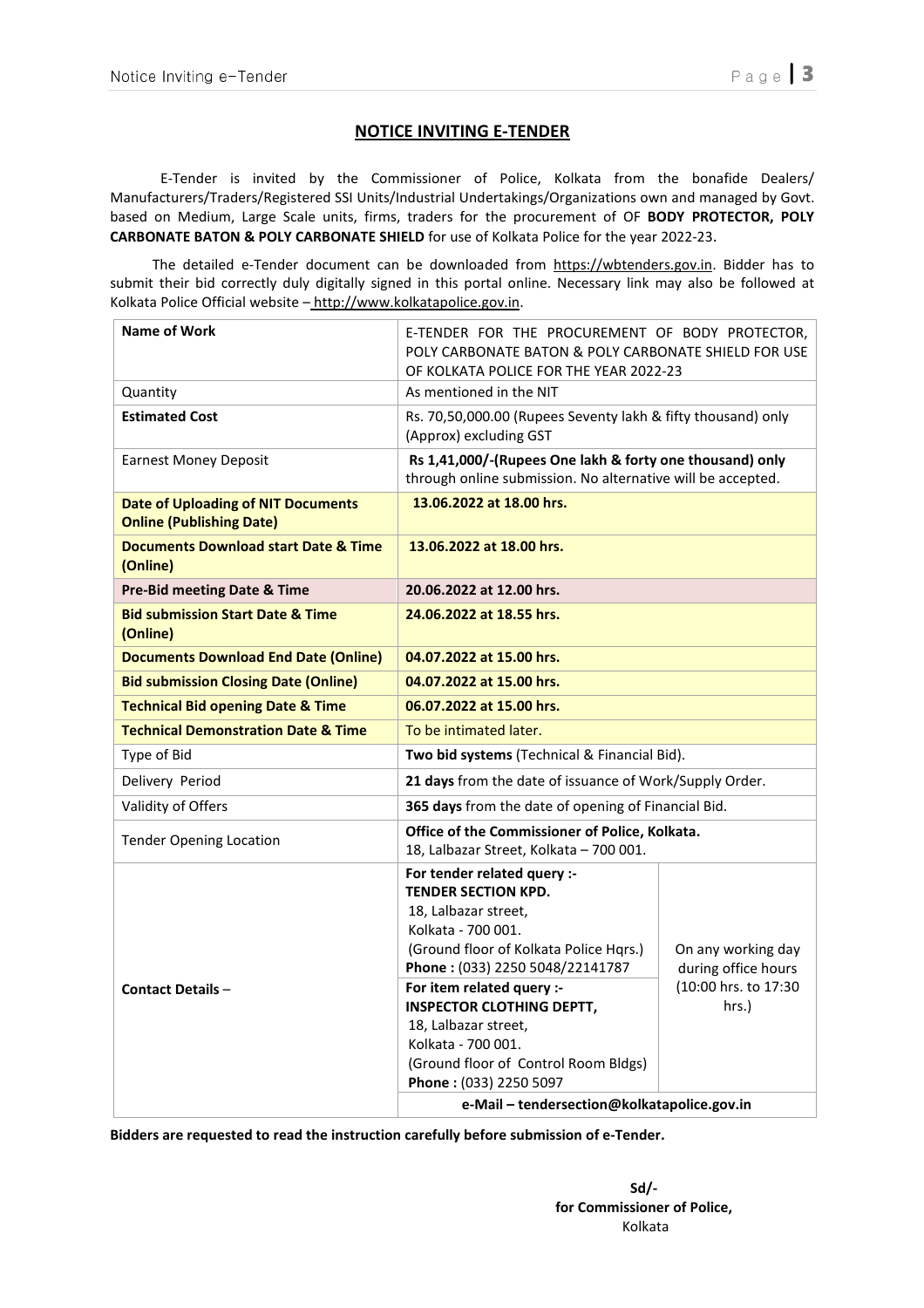## NOTICE INVITING E-TENDER

 E-Tender is invited by the Commissioner of Police, Kolkata from the bonafide Dealers/ Manufacturers/Traders/Registered SSI Units/Industrial Undertakings/Organizations own and managed by Govt. based on Medium, Large Scale units, firms, traders for the procurement of OF BODY PROTECTOR, POLY CARBONATE BATON & POLY CARBONATE SHIELD for use of Kolkata Police for the year 2022-23.

 The detailed e-Tender document can be downloaded from https://wbtenders.gov.in. Bidder has to submit their bid correctly duly digitally signed in this portal online. Necessary link may also be followed at Kolkata Police Official website – http://www.kolkatapolice.gov.in.

| <b>Name of Work</b>                                                          | E-TENDER FOR THE PROCUREMENT OF BODY PROTECTOR,<br>POLY CARBONATE BATON & POLY CARBONATE SHIELD FOR USE<br>OF KOLKATA POLICE FOR THE YEAR 2022-23                                                                                                                                                                                                                     |                                                                            |  |  |
|------------------------------------------------------------------------------|-----------------------------------------------------------------------------------------------------------------------------------------------------------------------------------------------------------------------------------------------------------------------------------------------------------------------------------------------------------------------|----------------------------------------------------------------------------|--|--|
| Quantity                                                                     | As mentioned in the NIT                                                                                                                                                                                                                                                                                                                                               |                                                                            |  |  |
| <b>Estimated Cost</b>                                                        | Rs. 70,50,000.00 (Rupees Seventy lakh & fifty thousand) only<br>(Approx) excluding GST                                                                                                                                                                                                                                                                                |                                                                            |  |  |
| <b>Earnest Money Deposit</b>                                                 | Rs 1,41,000/-(Rupees One lakh & forty one thousand) only<br>through online submission. No alternative will be accepted.                                                                                                                                                                                                                                               |                                                                            |  |  |
| <b>Date of Uploading of NIT Documents</b><br><b>Online (Publishing Date)</b> | 13.06.2022 at 18.00 hrs.                                                                                                                                                                                                                                                                                                                                              |                                                                            |  |  |
| <b>Documents Download start Date &amp; Time</b><br>(Online)                  | 13.06.2022 at 18.00 hrs.                                                                                                                                                                                                                                                                                                                                              |                                                                            |  |  |
| Pre-Bid meeting Date & Time                                                  | 20.06.2022 at 12.00 hrs.                                                                                                                                                                                                                                                                                                                                              |                                                                            |  |  |
| <b>Bid submission Start Date &amp; Time</b><br>(Online)                      | 24.06.2022 at 18.55 hrs.                                                                                                                                                                                                                                                                                                                                              |                                                                            |  |  |
| <b>Documents Download End Date (Online)</b>                                  | 04.07.2022 at 15.00 hrs.                                                                                                                                                                                                                                                                                                                                              |                                                                            |  |  |
| <b>Bid submission Closing Date (Online)</b>                                  | 04.07.2022 at 15.00 hrs.                                                                                                                                                                                                                                                                                                                                              |                                                                            |  |  |
| <b>Technical Bid opening Date &amp; Time</b>                                 | 06.07.2022 at 15.00 hrs.                                                                                                                                                                                                                                                                                                                                              |                                                                            |  |  |
| <b>Technical Demonstration Date &amp; Time</b>                               | To be intimated later.                                                                                                                                                                                                                                                                                                                                                |                                                                            |  |  |
| Type of Bid                                                                  | Two bid systems (Technical & Financial Bid).                                                                                                                                                                                                                                                                                                                          |                                                                            |  |  |
| Delivery Period                                                              | 21 days from the date of issuance of Work/Supply Order.                                                                                                                                                                                                                                                                                                               |                                                                            |  |  |
| Validity of Offers                                                           | 365 days from the date of opening of Financial Bid.                                                                                                                                                                                                                                                                                                                   |                                                                            |  |  |
| <b>Tender Opening Location</b>                                               | Office of the Commissioner of Police, Kolkata.<br>18, Lalbazar Street, Kolkata - 700 001.                                                                                                                                                                                                                                                                             |                                                                            |  |  |
| <b>Contact Details -</b>                                                     | For tender related query :-<br><b>TENDER SECTION KPD.</b><br>18, Lalbazar street,<br>Kolkata - 700 001.<br>(Ground floor of Kolkata Police Hqrs.)<br>Phone: (033) 2250 5048/22141787<br>For item related query :-<br><b>INSPECTOR CLOTHING DEPTT,</b><br>18, Lalbazar street,<br>Kolkata - 700 001.<br>(Ground floor of Control Room Bldgs)<br>Phone: (033) 2250 5097 | On any working day<br>during office hours<br>(10:00 hrs. to 17:30<br>hrs.) |  |  |
|                                                                              | e-Mail - tendersection@kolkatapolice.gov.in                                                                                                                                                                                                                                                                                                                           |                                                                            |  |  |

Bidders are requested to read the instruction carefully before submission of e-Tender.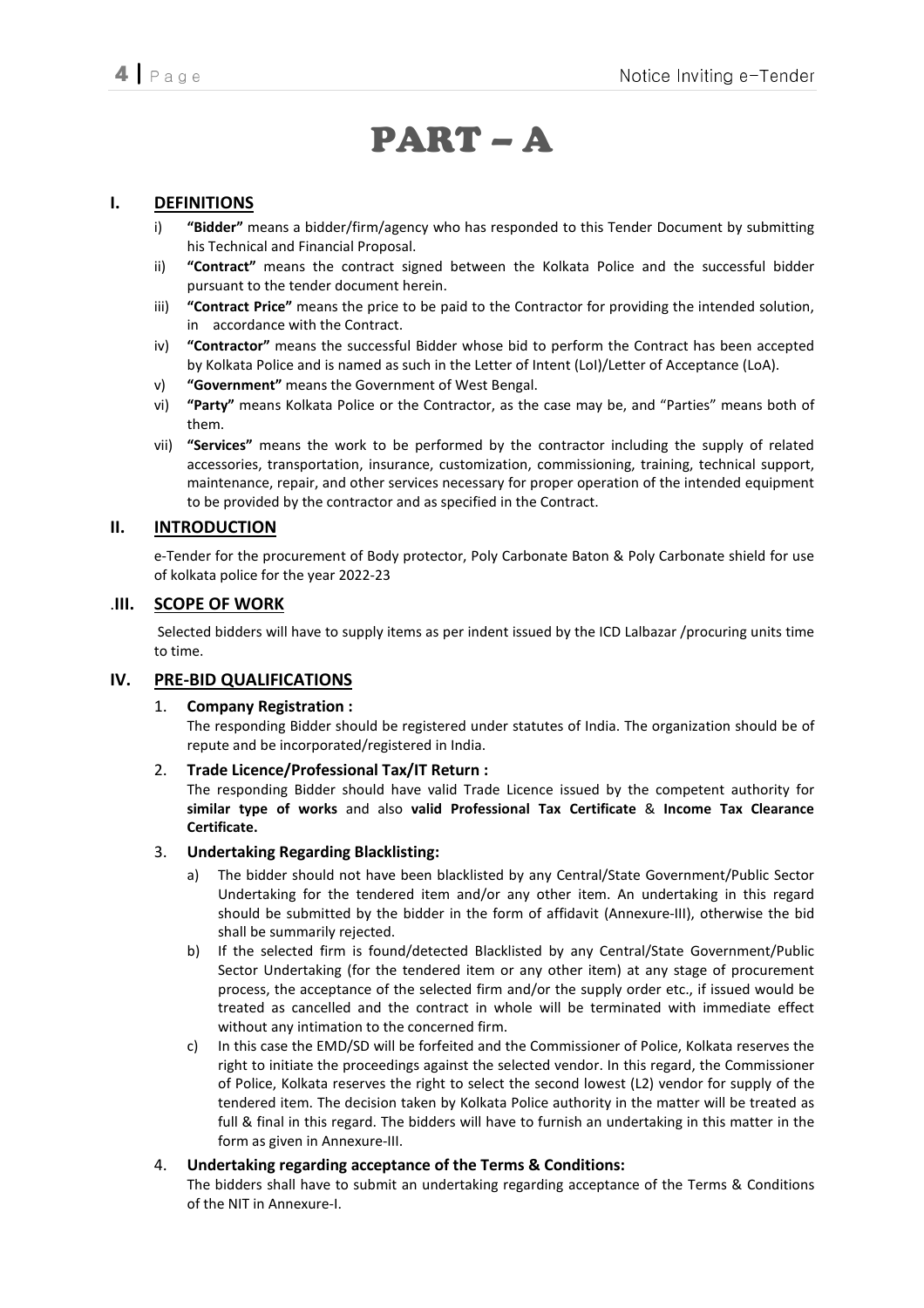# PART – A

## I. DEFINITIONS

- i) "Bidder" means a bidder/firm/agency who has responded to this Tender Document by submitting his Technical and Financial Proposal.
- ii) "Contract" means the contract signed between the Kolkata Police and the successful bidder pursuant to the tender document herein.
- iii) "Contract Price" means the price to be paid to the Contractor for providing the intended solution, in accordance with the Contract.
- iv) "Contractor" means the successful Bidder whose bid to perform the Contract has been accepted by Kolkata Police and is named as such in the Letter of Intent (LoI)/Letter of Acceptance (LoA).
- v) "Government" means the Government of West Bengal.
- vi) "Party" means Kolkata Police or the Contractor, as the case may be, and "Parties" means both of them.
- vii) "Services" means the work to be performed by the contractor including the supply of related accessories, transportation, insurance, customization, commissioning, training, technical support, maintenance, repair, and other services necessary for proper operation of the intended equipment to be provided by the contractor and as specified in the Contract.

## II. INTRODUCTION

e-Tender for the procurement of Body protector, Poly Carbonate Baton & Poly Carbonate shield for use of kolkata police for the year 2022-23

### .III. SCOPE OF WORK

 Selected bidders will have to supply items as per indent issued by the ICD Lalbazar /procuring units time to time.

### IV. PRE-BID QUALIFICATIONS

### 1. Company Registration :

The responding Bidder should be registered under statutes of India. The organization should be of repute and be incorporated/registered in India.

### 2. Trade Licence/Professional Tax/IT Return :

The responding Bidder should have valid Trade Licence issued by the competent authority for similar type of works and also valid Professional Tax Certificate & Income Tax Clearance Certificate.

### 3. Undertaking Regarding Blacklisting:

- a) The bidder should not have been blacklisted by any Central/State Government/Public Sector Undertaking for the tendered item and/or any other item. An undertaking in this regard should be submitted by the bidder in the form of affidavit (Annexure-III), otherwise the bid shall be summarily rejected.
- b) If the selected firm is found/detected Blacklisted by any Central/State Government/Public Sector Undertaking (for the tendered item or any other item) at any stage of procurement process, the acceptance of the selected firm and/or the supply order etc., if issued would be treated as cancelled and the contract in whole will be terminated with immediate effect without any intimation to the concerned firm.
- c) In this case the EMD/SD will be forfeited and the Commissioner of Police, Kolkata reserves the right to initiate the proceedings against the selected vendor. In this regard, the Commissioner of Police, Kolkata reserves the right to select the second lowest (L2) vendor for supply of the tendered item. The decision taken by Kolkata Police authority in the matter will be treated as full & final in this regard. The bidders will have to furnish an undertaking in this matter in the form as given in Annexure-III.

### 4. Undertaking regarding acceptance of the Terms & Conditions:

The bidders shall have to submit an undertaking regarding acceptance of the Terms & Conditions of the NIT in Annexure-I.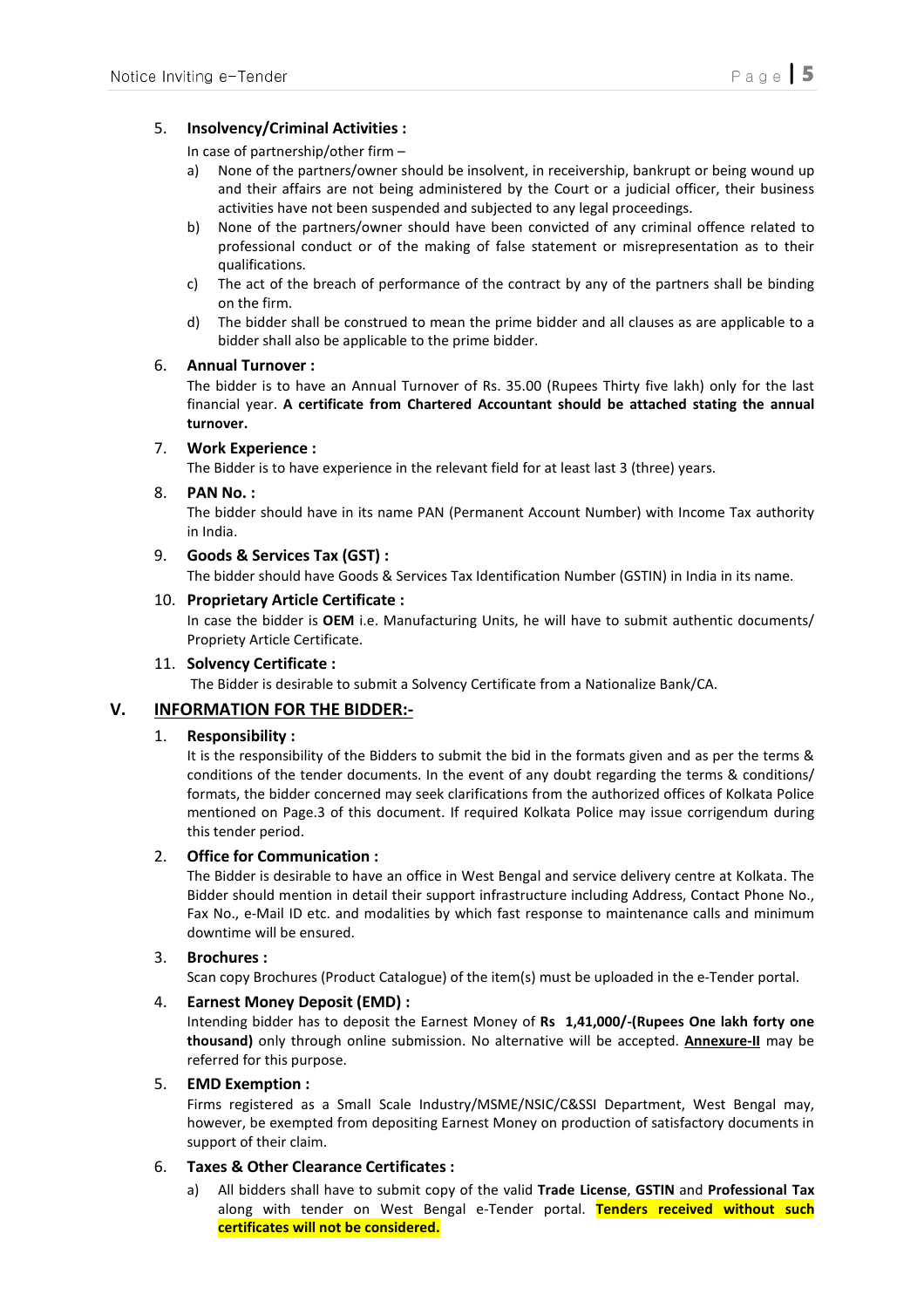### 5. Insolvency/Criminal Activities :

In case of partnership/other firm –

- a) None of the partners/owner should be insolvent, in receivership, bankrupt or being wound up and their affairs are not being administered by the Court or a judicial officer, their business activities have not been suspended and subjected to any legal proceedings.
- b) None of the partners/owner should have been convicted of any criminal offence related to professional conduct or of the making of false statement or misrepresentation as to their qualifications.
- c) The act of the breach of performance of the contract by any of the partners shall be binding on the firm.
- d) The bidder shall be construed to mean the prime bidder and all clauses as are applicable to a bidder shall also be applicable to the prime bidder.

#### 6. Annual Turnover :

The bidder is to have an Annual Turnover of Rs. 35.00 (Rupees Thirty five lakh) only for the last financial year. A certificate from Chartered Accountant should be attached stating the annual turnover.

#### 7. Work Experience :

The Bidder is to have experience in the relevant field for at least last 3 (three) years.

#### $8.$  PAN No.  $\cdot$

The bidder should have in its name PAN (Permanent Account Number) with Income Tax authority in India.

#### 9. Goods & Services Tax (GST) :

The bidder should have Goods & Services Tax Identification Number (GSTIN) in India in its name.

#### 10. Proprietary Article Certificate :

In case the bidder is OEM i.e. Manufacturing Units, he will have to submit authentic documents/ Propriety Article Certificate.

#### 11. Solvency Certificate :

The Bidder is desirable to submit a Solvency Certificate from a Nationalize Bank/CA.

### V. INFORMATION FOR THE BIDDER:-

### 1. Responsibility :

It is the responsibility of the Bidders to submit the bid in the formats given and as per the terms & conditions of the tender documents. In the event of any doubt regarding the terms & conditions/ formats, the bidder concerned may seek clarifications from the authorized offices of Kolkata Police mentioned on Page.3 of this document. If required Kolkata Police may issue corrigendum during this tender period.

#### 2. Office for Communication :

The Bidder is desirable to have an office in West Bengal and service delivery centre at Kolkata. The Bidder should mention in detail their support infrastructure including Address, Contact Phone No., Fax No., e-Mail ID etc. and modalities by which fast response to maintenance calls and minimum downtime will be ensured.

#### 3. Brochures :

Scan copy Brochures (Product Catalogue) of the item(s) must be uploaded in the e-Tender portal.

### 4. Earnest Money Deposit (EMD) :

Intending bidder has to deposit the Earnest Money of Rs 1,41,000/-(Rupees One lakh forty one thousand) only through online submission. No alternative will be accepted. Annexure-II may be referred for this purpose.

#### 5. EMD Exemption :

Firms registered as a Small Scale Industry/MSME/NSIC/C&SSI Department, West Bengal may, however, be exempted from depositing Earnest Money on production of satisfactory documents in support of their claim.

### 6. Taxes & Other Clearance Certificates :

a) All bidders shall have to submit copy of the valid Trade License, GSTIN and Professional Tax along with tender on West Bengal e-Tender portal. Tenders received without such certificates will not be considered.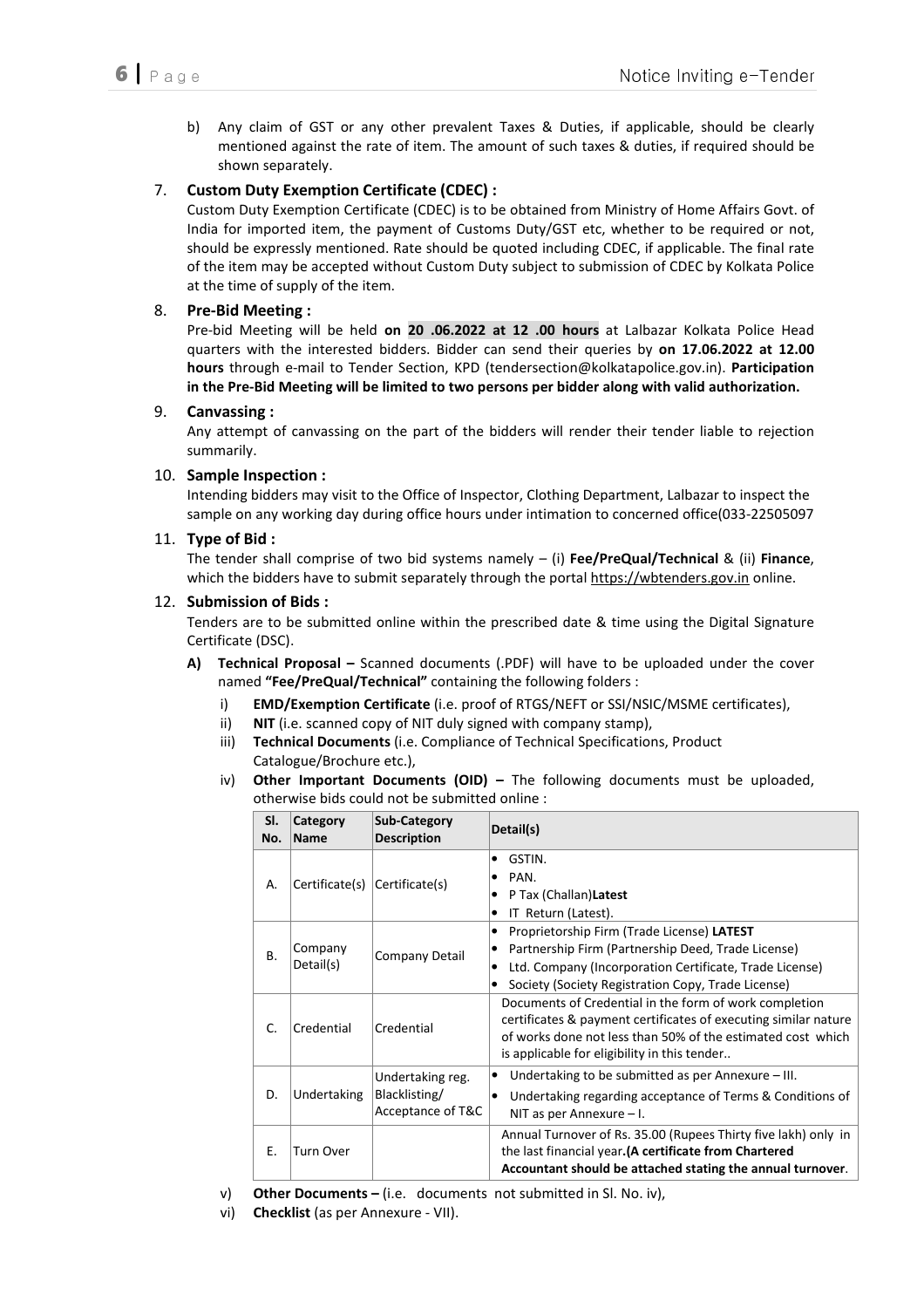b) Any claim of GST or any other prevalent Taxes & Duties, if applicable, should be clearly mentioned against the rate of item. The amount of such taxes & duties, if required should be shown separately.

## 7. Custom Duty Exemption Certificate (CDEC) :

Custom Duty Exemption Certificate (CDEC) is to be obtained from Ministry of Home Affairs Govt. of India for imported item, the payment of Customs Duty/GST etc, whether to be required or not, should be expressly mentioned. Rate should be quoted including CDEC, if applicable. The final rate of the item may be accepted without Custom Duty subject to submission of CDEC by Kolkata Police at the time of supply of the item.

### 8. Pre-Bid Meeting :

Pre-bid Meeting will be held on 20 .06.2022 at 12 .00 hours at Lalbazar Kolkata Police Head quarters with the interested bidders. Bidder can send their queries by on 17.06.2022 at 12.00 hours through e-mail to Tender Section, KPD (tendersection@kolkatapolice.gov.in). Participation in the Pre-Bid Meeting will be limited to two persons per bidder along with valid authorization.

### 9. Canvassing :

Any attempt of canvassing on the part of the bidders will render their tender liable to rejection summarily.

### 10. Sample Inspection :

Intending bidders may visit to the Office of Inspector, Clothing Department, Lalbazar to inspect the sample on any working day during office hours under intimation to concerned office(033-22505097

#### 11. Type of Bid :

The tender shall comprise of two bid systems namely  $-$  (i) Fee/PreQual/Technical & (ii) Finance, which the bidders have to submit separately through the portal https://wbtenders.gov.in online.

### 12. Submission of Bids :

Tenders are to be submitted online within the prescribed date & time using the Digital Signature Certificate (DSC).

- A) Technical Proposal Scanned documents (.PDF) will have to be uploaded under the cover named "Fee/PreQual/Technical" containing the following folders :
	- i) EMD/Exemption Certificate (i.e. proof of RTGS/NEFT or SSI/NSIC/MSME certificates),
	- ii) NIT (i.e. scanned copy of NIT duly signed with company stamp),
	- iii) Technical Documents (i.e. Compliance of Technical Specifications, Product Catalogue/Brochure etc.),
	- iv) Other Important Documents (OID) The following documents must be uploaded, otherwise bids could not be submitted online :

| SI.<br>No.   | Category<br><b>Name</b> | Sub-Category<br><b>Description</b>                     | Detail(s)                                                                                                                                                                                                                                     |
|--------------|-------------------------|--------------------------------------------------------|-----------------------------------------------------------------------------------------------------------------------------------------------------------------------------------------------------------------------------------------------|
| А.           | Certificate(s)          | $ $ Certificate(s)                                     | GSTIN.<br>٠<br>PAN.<br>٠<br>P Tax (Challan) Latest<br>٠<br>IT Return (Latest).<br>٠                                                                                                                                                           |
| <b>B.</b>    | Company<br>Detail(s)    | Company Detail                                         | Proprietorship Firm (Trade License) LATEST<br>٠<br>Partnership Firm (Partnership Deed, Trade License)<br>$\bullet$<br>Ltd. Company (Incorporation Certificate, Trade License)<br>٠<br>Society (Society Registration Copy, Trade License)<br>٠ |
| $\mathsf{C}$ | Credential              | Credential                                             | Documents of Credential in the form of work completion<br>certificates & payment certificates of executing similar nature<br>of works done not less than 50% of the estimated cost which<br>is applicable for eligibility in this tender      |
| D.           | Undertaking             | Undertaking reg.<br>Blacklisting/<br>Acceptance of T&C | Undertaking to be submitted as per Annexure - III.<br>٠<br>Undertaking regarding acceptance of Terms & Conditions of<br>$\bullet$<br>NIT as per Annexure $-1$ .                                                                               |
| Е.           | Turn Over               |                                                        | Annual Turnover of Rs. 35.00 (Rupees Thirty five lakh) only in<br>the last financial year. (A certificate from Chartered<br>Accountant should be attached stating the annual turnover.                                                        |

v) Other Documents – (i.e. documents not submitted in Sl. No. iv),

vi) Checklist (as per Annexure - VII).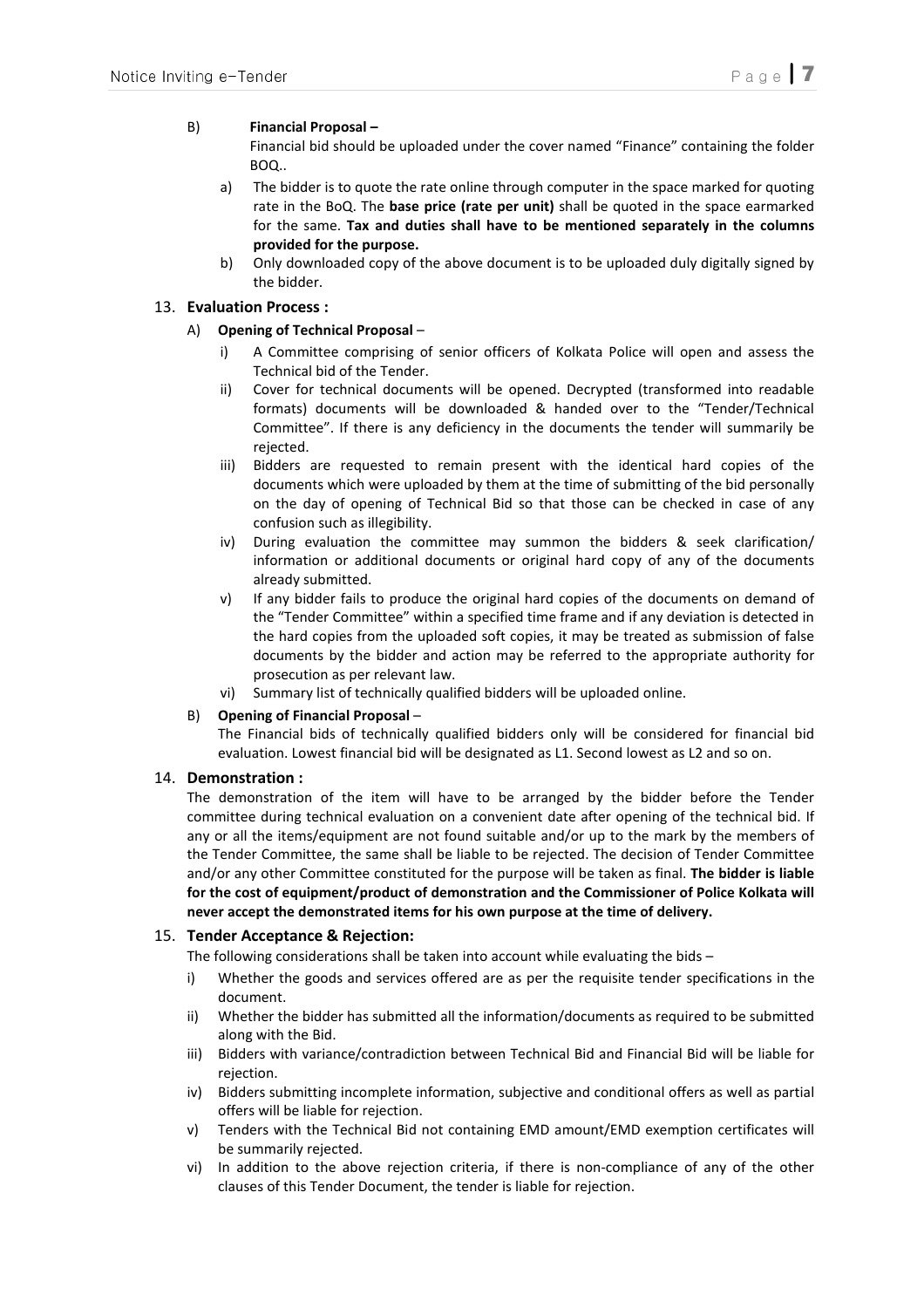#### B) Financial Proposal –

Financial bid should be uploaded under the cover named "Finance" containing the folder BOQ..

- a) The bidder is to quote the rate online through computer in the space marked for quoting rate in the BoQ. The base price (rate per unit) shall be quoted in the space earmarked for the same. Tax and duties shall have to be mentioned separately in the columns provided for the purpose.
- b) Only downloaded copy of the above document is to be uploaded duly digitally signed by the bidder.

#### 13. Evaluation Process :

#### A) Opening of Technical Proposal –

- i) A Committee comprising of senior officers of Kolkata Police will open and assess the Technical bid of the Tender.
- ii) Cover for technical documents will be opened. Decrypted (transformed into readable formats) documents will be downloaded & handed over to the "Tender/Technical Committee". If there is any deficiency in the documents the tender will summarily be rejected.
- iii) Bidders are requested to remain present with the identical hard copies of the documents which were uploaded by them at the time of submitting of the bid personally on the day of opening of Technical Bid so that those can be checked in case of any confusion such as illegibility.
- iv) During evaluation the committee may summon the bidders & seek clarification/ information or additional documents or original hard copy of any of the documents already submitted.
- v) If any bidder fails to produce the original hard copies of the documents on demand of the "Tender Committee" within a specified time frame and if any deviation is detected in the hard copies from the uploaded soft copies, it may be treated as submission of false documents by the bidder and action may be referred to the appropriate authority for prosecution as per relevant law.
- vi) Summary list of technically qualified bidders will be uploaded online.

#### B) Opening of Financial Proposal –

The Financial bids of technically qualified bidders only will be considered for financial bid evaluation. Lowest financial bid will be designated as L1. Second lowest as L2 and so on.

#### 14. Demonstration :

The demonstration of the item will have to be arranged by the bidder before the Tender committee during technical evaluation on a convenient date after opening of the technical bid. If any or all the items/equipment are not found suitable and/or up to the mark by the members of the Tender Committee, the same shall be liable to be rejected. The decision of Tender Committee and/or any other Committee constituted for the purpose will be taken as final. The bidder is liable for the cost of equipment/product of demonstration and the Commissioner of Police Kolkata will never accept the demonstrated items for his own purpose at the time of delivery.

#### 15. Tender Acceptance & Rejection:

The following considerations shall be taken into account while evaluating the bids –

- i) Whether the goods and services offered are as per the requisite tender specifications in the document.
- ii) Whether the bidder has submitted all the information/documents as required to be submitted along with the Bid.
- iii) Bidders with variance/contradiction between Technical Bid and Financial Bid will be liable for rejection.
- iv) Bidders submitting incomplete information, subjective and conditional offers as well as partial offers will be liable for rejection.
- v) Tenders with the Technical Bid not containing EMD amount/EMD exemption certificates will be summarily rejected.
- vi) In addition to the above rejection criteria, if there is non-compliance of any of the other clauses of this Tender Document, the tender is liable for rejection.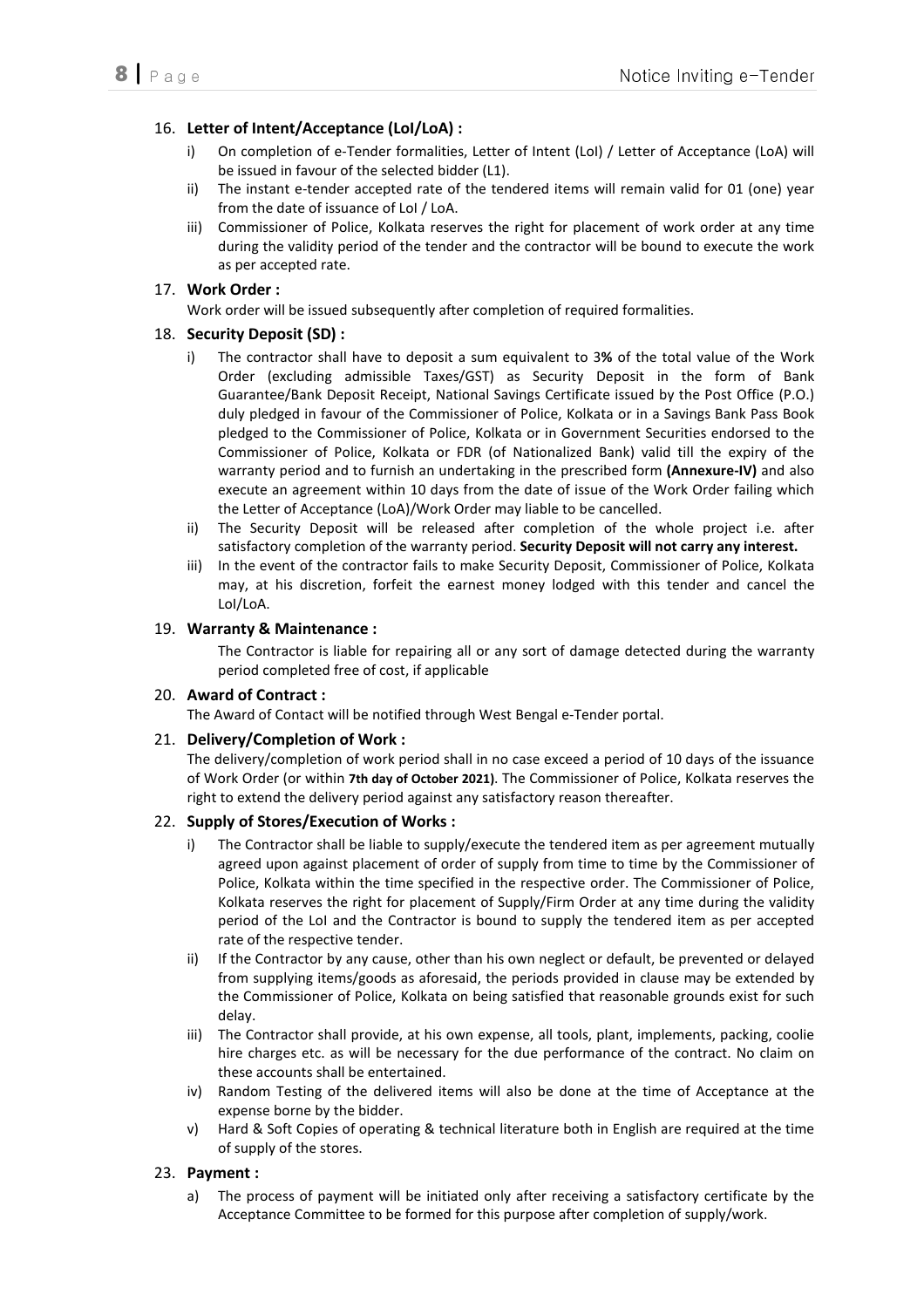## 16. Letter of Intent/Acceptance (LoI/LoA) :

- i) On completion of e-Tender formalities, Letter of Intent (LoI) / Letter of Acceptance (LoA) will be issued in favour of the selected bidder (L1).
- ii) The instant e-tender accepted rate of the tendered items will remain valid for 01 (one) year from the date of issuance of LoI / LoA.
- iii) Commissioner of Police, Kolkata reserves the right for placement of work order at any time during the validity period of the tender and the contractor will be bound to execute the work as per accepted rate.

## 17. Work Order :

Work order will be issued subsequently after completion of required formalities.

## 18. Security Deposit (SD) :

- i) The contractor shall have to deposit a sum equivalent to 3% of the total value of the Work Order (excluding admissible Taxes/GST) as Security Deposit in the form of Bank Guarantee/Bank Deposit Receipt, National Savings Certificate issued by the Post Office (P.O.) duly pledged in favour of the Commissioner of Police, Kolkata or in a Savings Bank Pass Book pledged to the Commissioner of Police, Kolkata or in Government Securities endorsed to the Commissioner of Police, Kolkata or FDR (of Nationalized Bank) valid till the expiry of the warranty period and to furnish an undertaking in the prescribed form (Annexure-IV) and also execute an agreement within 10 days from the date of issue of the Work Order failing which the Letter of Acceptance (LoA)/Work Order may liable to be cancelled.
- ii) The Security Deposit will be released after completion of the whole project i.e. after satisfactory completion of the warranty period. Security Deposit will not carry any interest.
- iii) In the event of the contractor fails to make Security Deposit, Commissioner of Police, Kolkata may, at his discretion, forfeit the earnest money lodged with this tender and cancel the LoI/LoA.

### 19. Warranty & Maintenance :

 The Contractor is liable for repairing all or any sort of damage detected during the warranty period completed free of cost, if applicable

### 20. Award of Contract :

The Award of Contact will be notified through West Bengal e-Tender portal.

### 21. Delivery/Completion of Work :

The delivery/completion of work period shall in no case exceed a period of 10 days of the issuance of Work Order (or within 7th day of October 2021). The Commissioner of Police, Kolkata reserves the right to extend the delivery period against any satisfactory reason thereafter.

### 22. Supply of Stores/Execution of Works :

- i) The Contractor shall be liable to supply/execute the tendered item as per agreement mutually agreed upon against placement of order of supply from time to time by the Commissioner of Police, Kolkata within the time specified in the respective order. The Commissioner of Police, Kolkata reserves the right for placement of Supply/Firm Order at any time during the validity period of the LoI and the Contractor is bound to supply the tendered item as per accepted rate of the respective tender.
- ii) If the Contractor by any cause, other than his own neglect or default, be prevented or delayed from supplying items/goods as aforesaid, the periods provided in clause may be extended by the Commissioner of Police, Kolkata on being satisfied that reasonable grounds exist for such delay.
- iii) The Contractor shall provide, at his own expense, all tools, plant, implements, packing, coolie hire charges etc. as will be necessary for the due performance of the contract. No claim on these accounts shall be entertained.
- iv) Random Testing of the delivered items will also be done at the time of Acceptance at the expense borne by the bidder.
- v) Hard & Soft Copies of operating & technical literature both in English are required at the time of supply of the stores.

### 23. Payment :

a) The process of payment will be initiated only after receiving a satisfactory certificate by the Acceptance Committee to be formed for this purpose after completion of supply/work.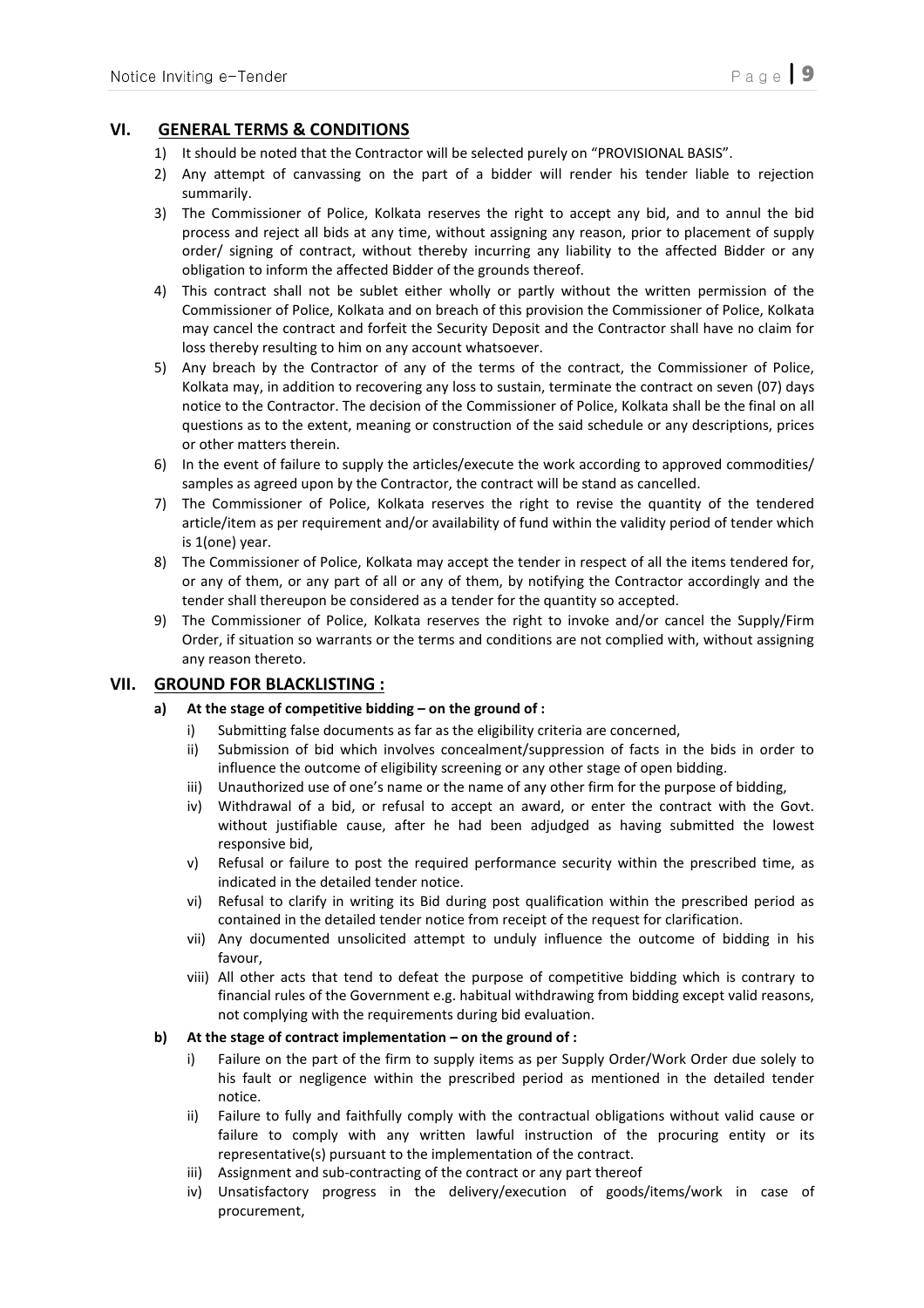# VI. GENERAL TERMS & CONDITIONS

- 1) It should be noted that the Contractor will be selected purely on "PROVISIONAL BASIS".
- 2) Any attempt of canvassing on the part of a bidder will render his tender liable to rejection summarily.
- 3) The Commissioner of Police, Kolkata reserves the right to accept any bid, and to annul the bid process and reject all bids at any time, without assigning any reason, prior to placement of supply order/ signing of contract, without thereby incurring any liability to the affected Bidder or any obligation to inform the affected Bidder of the grounds thereof.
- 4) This contract shall not be sublet either wholly or partly without the written permission of the Commissioner of Police, Kolkata and on breach of this provision the Commissioner of Police, Kolkata may cancel the contract and forfeit the Security Deposit and the Contractor shall have no claim for loss thereby resulting to him on any account whatsoever.
- 5) Any breach by the Contractor of any of the terms of the contract, the Commissioner of Police, Kolkata may, in addition to recovering any loss to sustain, terminate the contract on seven (07) days notice to the Contractor. The decision of the Commissioner of Police, Kolkata shall be the final on all questions as to the extent, meaning or construction of the said schedule or any descriptions, prices or other matters therein.
- 6) In the event of failure to supply the articles/execute the work according to approved commodities/ samples as agreed upon by the Contractor, the contract will be stand as cancelled.
- 7) The Commissioner of Police, Kolkata reserves the right to revise the quantity of the tendered article/item as per requirement and/or availability of fund within the validity period of tender which is 1(one) year.
- 8) The Commissioner of Police, Kolkata may accept the tender in respect of all the items tendered for, or any of them, or any part of all or any of them, by notifying the Contractor accordingly and the tender shall thereupon be considered as a tender for the quantity so accepted.
- 9) The Commissioner of Police, Kolkata reserves the right to invoke and/or cancel the Supply/Firm Order, if situation so warrants or the terms and conditions are not complied with, without assigning any reason thereto.

### VII. GROUND FOR BLACKLISTING :

### a) At the stage of competitive bidding – on the ground of :

- i) Submitting false documents as far as the eligibility criteria are concerned,
- ii) Submission of bid which involves concealment/suppression of facts in the bids in order to influence the outcome of eligibility screening or any other stage of open bidding.
- iii) Unauthorized use of one's name or the name of any other firm for the purpose of bidding,
- iv) Withdrawal of a bid, or refusal to accept an award, or enter the contract with the Govt. without justifiable cause, after he had been adjudged as having submitted the lowest responsive bid,
- v) Refusal or failure to post the required performance security within the prescribed time, as indicated in the detailed tender notice.
- vi) Refusal to clarify in writing its Bid during post qualification within the prescribed period as contained in the detailed tender notice from receipt of the request for clarification.
- vii) Any documented unsolicited attempt to unduly influence the outcome of bidding in his favour,
- viii) All other acts that tend to defeat the purpose of competitive bidding which is contrary to financial rules of the Government e.g. habitual withdrawing from bidding except valid reasons, not complying with the requirements during bid evaluation.

#### b) At the stage of contract implementation – on the ground of :

- i) Failure on the part of the firm to supply items as per Supply Order/Work Order due solely to his fault or negligence within the prescribed period as mentioned in the detailed tender notice.
- ii) Failure to fully and faithfully comply with the contractual obligations without valid cause or failure to comply with any written lawful instruction of the procuring entity or its representative(s) pursuant to the implementation of the contract.
- iii) Assignment and sub-contracting of the contract or any part thereof
- iv) Unsatisfactory progress in the delivery/execution of goods/items/work in case of procurement,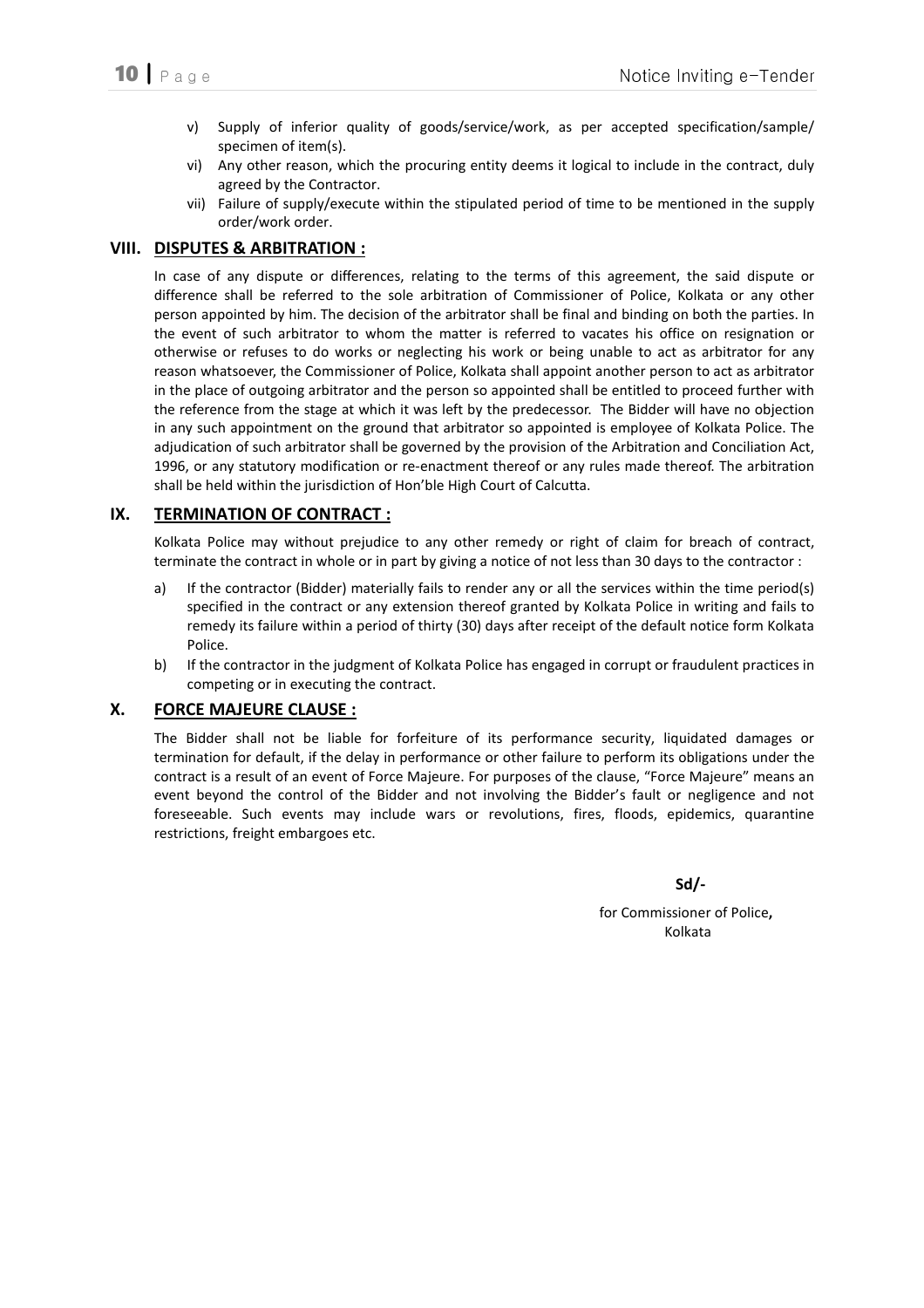- v) Supply of inferior quality of goods/service/work, as per accepted specification/sample/ specimen of item(s).
- vi) Any other reason, which the procuring entity deems it logical to include in the contract, duly agreed by the Contractor.
- vii) Failure of supply/execute within the stipulated period of time to be mentioned in the supply order/work order.

## VIII. DISPUTES & ARBITRATION :

In case of any dispute or differences, relating to the terms of this agreement, the said dispute or difference shall be referred to the sole arbitration of Commissioner of Police, Kolkata or any other person appointed by him. The decision of the arbitrator shall be final and binding on both the parties. In the event of such arbitrator to whom the matter is referred to vacates his office on resignation or otherwise or refuses to do works or neglecting his work or being unable to act as arbitrator for any reason whatsoever, the Commissioner of Police, Kolkata shall appoint another person to act as arbitrator in the place of outgoing arbitrator and the person so appointed shall be entitled to proceed further with the reference from the stage at which it was left by the predecessor. The Bidder will have no objection in any such appointment on the ground that arbitrator so appointed is employee of Kolkata Police. The adjudication of such arbitrator shall be governed by the provision of the Arbitration and Conciliation Act, 1996, or any statutory modification or re-enactment thereof or any rules made thereof. The arbitration shall be held within the jurisdiction of Hon'ble High Court of Calcutta.

### IX. TERMINATION OF CONTRACT :

Kolkata Police may without prejudice to any other remedy or right of claim for breach of contract, terminate the contract in whole or in part by giving a notice of not less than 30 days to the contractor :

- a) If the contractor (Bidder) materially fails to render any or all the services within the time period(s) specified in the contract or any extension thereof granted by Kolkata Police in writing and fails to remedy its failure within a period of thirty (30) days after receipt of the default notice form Kolkata Police.
- b) If the contractor in the judgment of Kolkata Police has engaged in corrupt or fraudulent practices in competing or in executing the contract.

### X. FORCE MAJEURE CLAUSE :

The Bidder shall not be liable for forfeiture of its performance security, liquidated damages or termination for default, if the delay in performance or other failure to perform its obligations under the contract is a result of an event of Force Majeure. For purposes of the clause, "Force Majeure" means an event beyond the control of the Bidder and not involving the Bidder's fault or negligence and not foreseeable. Such events may include wars or revolutions, fires, floods, epidemics, quarantine restrictions, freight embargoes etc.

 $Sd$ 

 for Commissioner of Police, Kolkata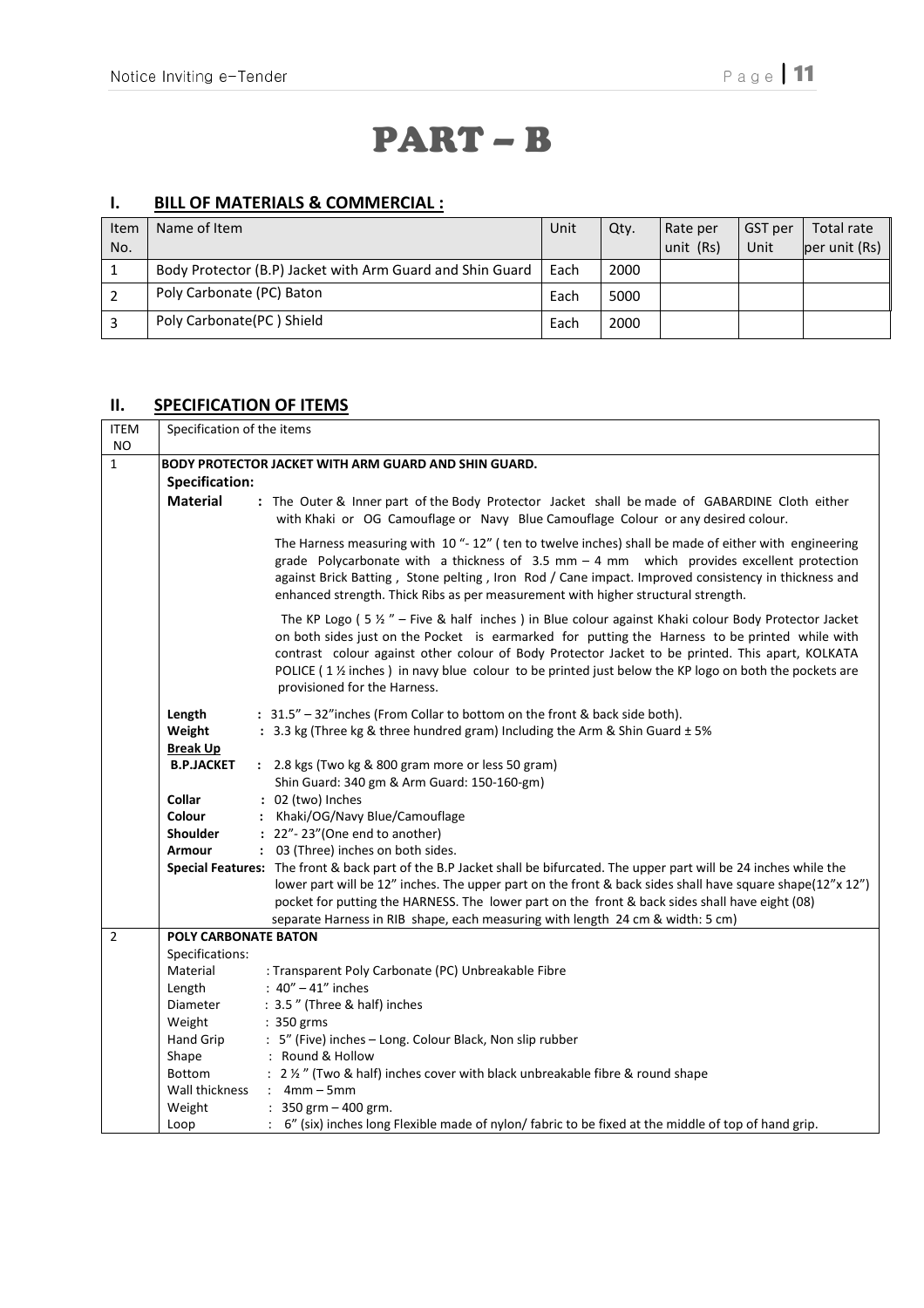# PART – B

# I. BILL OF MATERIALS & COMMERCIAL :

| Item | Name of Item                                              | Unit | Qty. | Rate per  | GST per | Total rate                  |
|------|-----------------------------------------------------------|------|------|-----------|---------|-----------------------------|
| No.  |                                                           |      |      | unit (Rs) | Unit    | $per$ unit (Rs) $\parallel$ |
|      | Body Protector (B.P) Jacket with Arm Guard and Shin Guard | Each | 2000 |           |         |                             |
|      | Poly Carbonate (PC) Baton                                 | Each | 5000 |           |         |                             |
|      | Poly Carbonate(PC) Shield                                 | Each | 2000 |           |         |                             |

# **II.** SPECIFICATION OF ITEMS

| <b>ITEM</b>    | Specification of the items                           |                                                                                                                                                                                                                                                                                                                                                                                                                                                                 |  |  |  |  |
|----------------|------------------------------------------------------|-----------------------------------------------------------------------------------------------------------------------------------------------------------------------------------------------------------------------------------------------------------------------------------------------------------------------------------------------------------------------------------------------------------------------------------------------------------------|--|--|--|--|
| <b>NO</b>      |                                                      |                                                                                                                                                                                                                                                                                                                                                                                                                                                                 |  |  |  |  |
| $\mathbf{1}$   | BODY PROTECTOR JACKET WITH ARM GUARD AND SHIN GUARD. |                                                                                                                                                                                                                                                                                                                                                                                                                                                                 |  |  |  |  |
|                | <b>Specification:</b>                                |                                                                                                                                                                                                                                                                                                                                                                                                                                                                 |  |  |  |  |
|                | <b>Material</b>                                      | : The Outer & Inner part of the Body Protector Jacket shall be made of GABARDINE Cloth either<br>with Khaki or OG Camouflage or Navy Blue Camouflage Colour or any desired colour.                                                                                                                                                                                                                                                                              |  |  |  |  |
|                |                                                      | The Harness measuring with 10 "-12" (ten to twelve inches) shall be made of either with engineering<br>grade Polycarbonate with a thickness of $3.5$ mm $-4$ mm which provides excellent protection<br>against Brick Batting, Stone pelting, Iron Rod / Cane impact. Improved consistency in thickness and<br>enhanced strength. Thick Ribs as per measurement with higher structural strength.                                                                 |  |  |  |  |
|                |                                                      | The KP Logo ( $5 \frac{1}{2}$ " – Five & half inches) in Blue colour against Khaki colour Body Protector Jacket<br>on both sides just on the Pocket is earmarked for putting the Harness to be printed while with<br>contrast colour against other colour of Body Protector Jacket to be printed. This apart, KOLKATA<br>POLICE (1 1/2 inches) in navy blue colour to be printed just below the KP logo on both the pockets are<br>provisioned for the Harness. |  |  |  |  |
|                | Length                                               | : 31.5" - 32" inches (From Collar to bottom on the front & back side both).                                                                                                                                                                                                                                                                                                                                                                                     |  |  |  |  |
|                | Weight                                               | : 3.3 kg (Three kg & three hundred gram) Including the Arm & Shin Guard ± 5%                                                                                                                                                                                                                                                                                                                                                                                    |  |  |  |  |
|                | <b>Break Up</b>                                      |                                                                                                                                                                                                                                                                                                                                                                                                                                                                 |  |  |  |  |
|                | <b>B.P.JACKET</b>                                    | : 2.8 kgs (Two kg & 800 gram more or less 50 gram)                                                                                                                                                                                                                                                                                                                                                                                                              |  |  |  |  |
|                |                                                      | Shin Guard: 340 gm & Arm Guard: 150-160-gm)                                                                                                                                                                                                                                                                                                                                                                                                                     |  |  |  |  |
|                | <b>Collar</b>                                        | : 02 (two) Inches                                                                                                                                                                                                                                                                                                                                                                                                                                               |  |  |  |  |
|                | <b>Colour</b>                                        | : Khaki/OG/Navy Blue/Camouflage                                                                                                                                                                                                                                                                                                                                                                                                                                 |  |  |  |  |
|                | <b>Shoulder</b>                                      | $: 22"$ -23" (One end to another)                                                                                                                                                                                                                                                                                                                                                                                                                               |  |  |  |  |
|                | <b>Armour</b>                                        | : 03 (Three) inches on both sides.                                                                                                                                                                                                                                                                                                                                                                                                                              |  |  |  |  |
|                |                                                      | Special Features: The front & back part of the B.P Jacket shall be bifurcated. The upper part will be 24 inches while the<br>lower part will be 12" inches. The upper part on the front & back sides shall have square shape(12"x 12")<br>pocket for putting the HARNESS. The lower part on the front & back sides shall have eight (08)<br>separate Harness in RIB shape, each measuring with length 24 cm & width: 5 cm)                                      |  |  |  |  |
| $\overline{2}$ | <b>POLY CARBONATE BATON</b>                          |                                                                                                                                                                                                                                                                                                                                                                                                                                                                 |  |  |  |  |
|                | Specifications:                                      |                                                                                                                                                                                                                                                                                                                                                                                                                                                                 |  |  |  |  |
|                | Material                                             | : Transparent Poly Carbonate (PC) Unbreakable Fibre                                                                                                                                                                                                                                                                                                                                                                                                             |  |  |  |  |
|                | Length                                               | : $40'' - 41''$ inches                                                                                                                                                                                                                                                                                                                                                                                                                                          |  |  |  |  |
|                | Diameter                                             | : 3.5" (Three & half) inches                                                                                                                                                                                                                                                                                                                                                                                                                                    |  |  |  |  |
|                | Weight                                               | : 350 grms                                                                                                                                                                                                                                                                                                                                                                                                                                                      |  |  |  |  |
|                | Hand Grip                                            | : 5" (Five) inches - Long. Colour Black, Non slip rubber                                                                                                                                                                                                                                                                                                                                                                                                        |  |  |  |  |
|                | Shape                                                | : Round & Hollow                                                                                                                                                                                                                                                                                                                                                                                                                                                |  |  |  |  |
|                | Bottom                                               | : 2 1/2" (Two & half) inches cover with black unbreakable fibre & round shape                                                                                                                                                                                                                                                                                                                                                                                   |  |  |  |  |
|                | Wall thickness                                       | $: 4mm - 5mm$                                                                                                                                                                                                                                                                                                                                                                                                                                                   |  |  |  |  |
|                | Weight                                               | : $350$ grm $-400$ grm.                                                                                                                                                                                                                                                                                                                                                                                                                                         |  |  |  |  |
|                | Loop                                                 | : 6" (six) inches long Flexible made of nylon/ fabric to be fixed at the middle of top of hand grip.                                                                                                                                                                                                                                                                                                                                                            |  |  |  |  |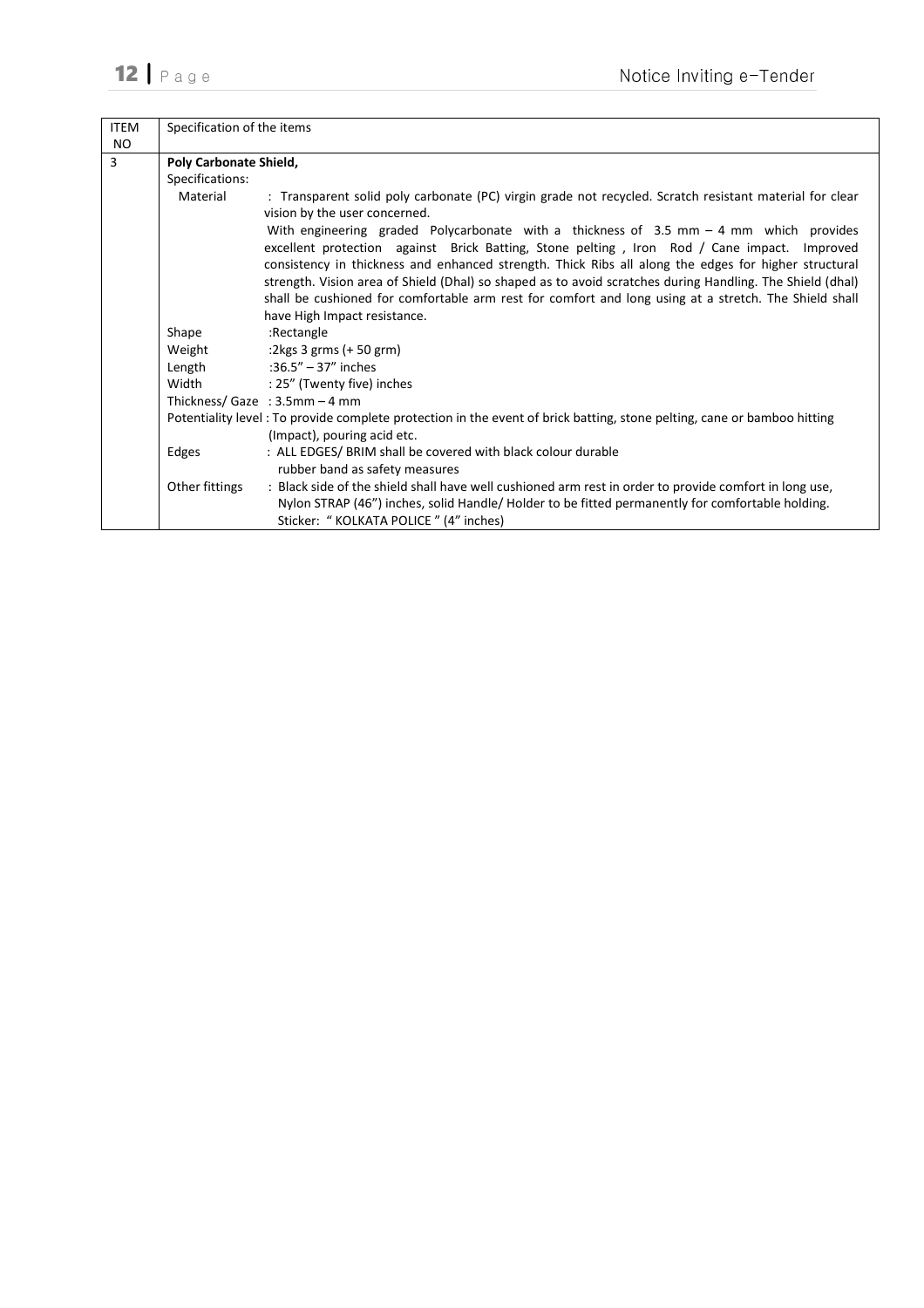| <b>ITEM</b>    | Specification of the items |                                                                                                                                                                                                                                                                                                  |  |  |  |
|----------------|----------------------------|--------------------------------------------------------------------------------------------------------------------------------------------------------------------------------------------------------------------------------------------------------------------------------------------------|--|--|--|
| NO.            |                            |                                                                                                                                                                                                                                                                                                  |  |  |  |
| $\overline{3}$ | Poly Carbonate Shield,     |                                                                                                                                                                                                                                                                                                  |  |  |  |
|                | Specifications:            |                                                                                                                                                                                                                                                                                                  |  |  |  |
|                | Material                   | : Transparent solid poly carbonate (PC) virgin grade not recycled. Scratch resistant material for clear<br>vision by the user concerned.                                                                                                                                                         |  |  |  |
|                |                            | With engineering graded Polycarbonate with a thickness of $3.5$ mm $-4$ mm which provides<br>excellent protection against Brick Batting, Stone pelting, Iron Rod / Cane impact. Improved<br>consistency in thickness and enhanced strength. Thick Ribs all along the edges for higher structural |  |  |  |
|                |                            | strength. Vision area of Shield (Dhal) so shaped as to avoid scratches during Handling. The Shield (dhal)<br>shall be cushioned for comfortable arm rest for comfort and long using at a stretch. The Shield shall                                                                               |  |  |  |
|                |                            | have High Impact resistance.                                                                                                                                                                                                                                                                     |  |  |  |
|                | Shape                      | :Rectangle                                                                                                                                                                                                                                                                                       |  |  |  |
|                | Weight                     | :2kgs $3$ grms (+ 50 grm)                                                                                                                                                                                                                                                                        |  |  |  |
|                | Length                     | :36.5" $-$ 37" inches                                                                                                                                                                                                                                                                            |  |  |  |
|                | Width                      | : 25" (Twenty five) inches                                                                                                                                                                                                                                                                       |  |  |  |
|                |                            | Thickness/Gaze : $3.5$ mm - 4 mm                                                                                                                                                                                                                                                                 |  |  |  |
|                |                            | Potentiality level: To provide complete protection in the event of brick batting, stone pelting, cane or bamboo hitting<br>(Impact), pouring acid etc.                                                                                                                                           |  |  |  |
|                | Edges                      | : ALL EDGES/ BRIM shall be covered with black colour durable<br>rubber band as safety measures                                                                                                                                                                                                   |  |  |  |
|                | Other fittings             | : Black side of the shield shall have well cushioned arm rest in order to provide comfort in long use,<br>Nylon STRAP (46") inches, solid Handle/ Holder to be fitted permanently for comfortable holding.<br>Sticker: "KOLKATA POLICE" (4" inches)                                              |  |  |  |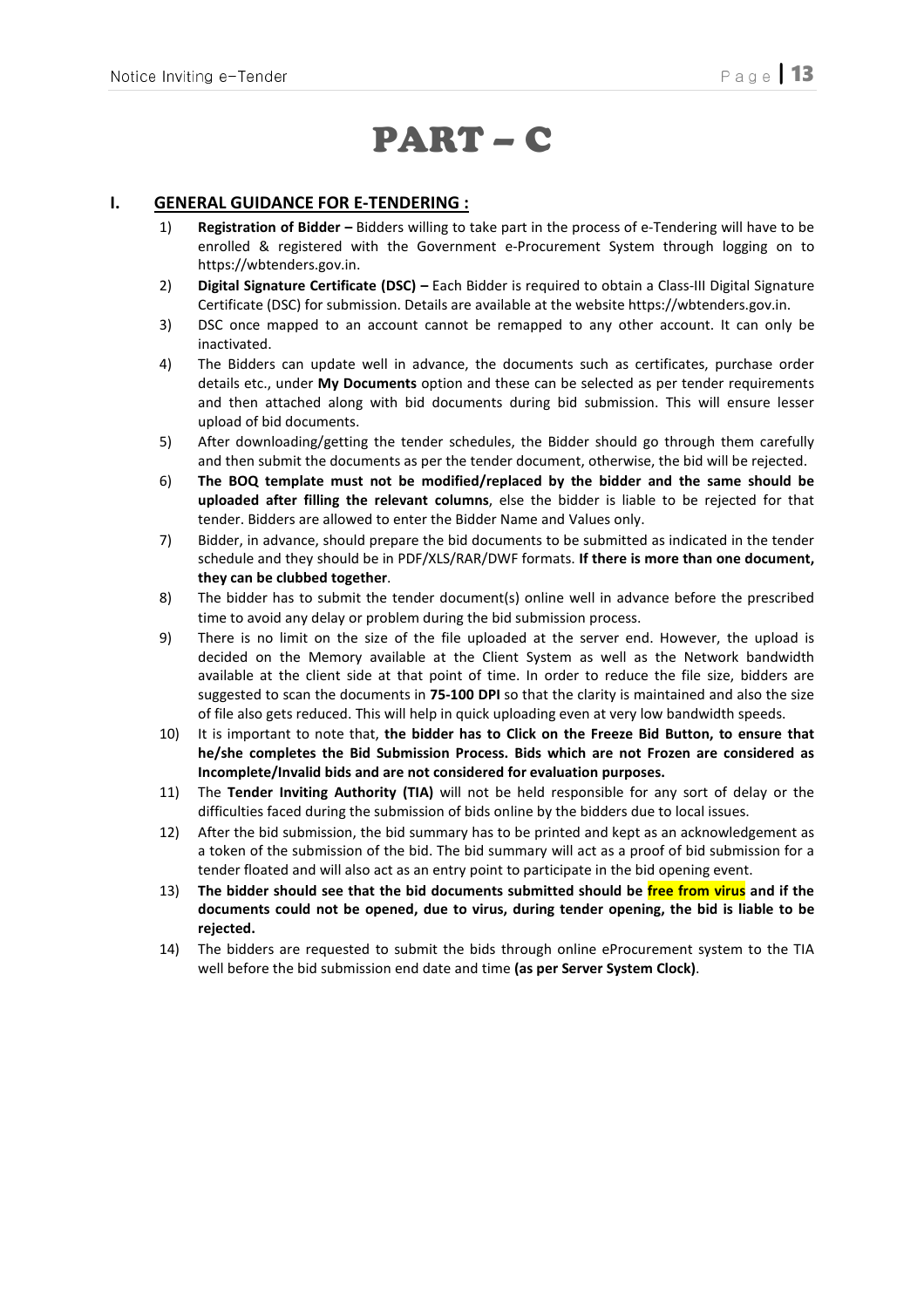# PART – C

# I. GENERAL GUIDANCE FOR E-TENDERING :

- 1) Registration of Bidder Bidders willing to take part in the process of e-Tendering will have to be enrolled & registered with the Government e-Procurement System through logging on to https://wbtenders.gov.in.
- 2) Digital Signature Certificate (DSC) Each Bidder is required to obtain a Class-III Digital Signature Certificate (DSC) for submission. Details are available at the website https://wbtenders.gov.in.
- 3) DSC once mapped to an account cannot be remapped to any other account. It can only be inactivated.
- 4) The Bidders can update well in advance, the documents such as certificates, purchase order details etc., under My Documents option and these can be selected as per tender requirements and then attached along with bid documents during bid submission. This will ensure lesser upload of bid documents.
- 5) After downloading/getting the tender schedules, the Bidder should go through them carefully and then submit the documents as per the tender document, otherwise, the bid will be rejected.
- 6) The BOQ template must not be modified/replaced by the bidder and the same should be uploaded after filling the relevant columns, else the bidder is liable to be rejected for that tender. Bidders are allowed to enter the Bidder Name and Values only.
- 7) Bidder, in advance, should prepare the bid documents to be submitted as indicated in the tender schedule and they should be in PDF/XLS/RAR/DWF formats. If there is more than one document, they can be clubbed together.
- 8) The bidder has to submit the tender document(s) online well in advance before the prescribed time to avoid any delay or problem during the bid submission process.
- 9) There is no limit on the size of the file uploaded at the server end. However, the upload is decided on the Memory available at the Client System as well as the Network bandwidth available at the client side at that point of time. In order to reduce the file size, bidders are suggested to scan the documents in 75-100 DPI so that the clarity is maintained and also the size of file also gets reduced. This will help in quick uploading even at very low bandwidth speeds.
- 10) It is important to note that, the bidder has to Click on the Freeze Bid Button, to ensure that he/she completes the Bid Submission Process. Bids which are not Frozen are considered as Incomplete/Invalid bids and are not considered for evaluation purposes.
- 11) The Tender Inviting Authority (TIA) will not be held responsible for any sort of delay or the difficulties faced during the submission of bids online by the bidders due to local issues.
- 12) After the bid submission, the bid summary has to be printed and kept as an acknowledgement as a token of the submission of the bid. The bid summary will act as a proof of bid submission for a tender floated and will also act as an entry point to participate in the bid opening event.
- 13) The bidder should see that the bid documents submitted should be free from virus and if the documents could not be opened, due to virus, during tender opening, the bid is liable to be rejected.
- 14) The bidders are requested to submit the bids through online eProcurement system to the TIA well before the bid submission end date and time (as per Server System Clock).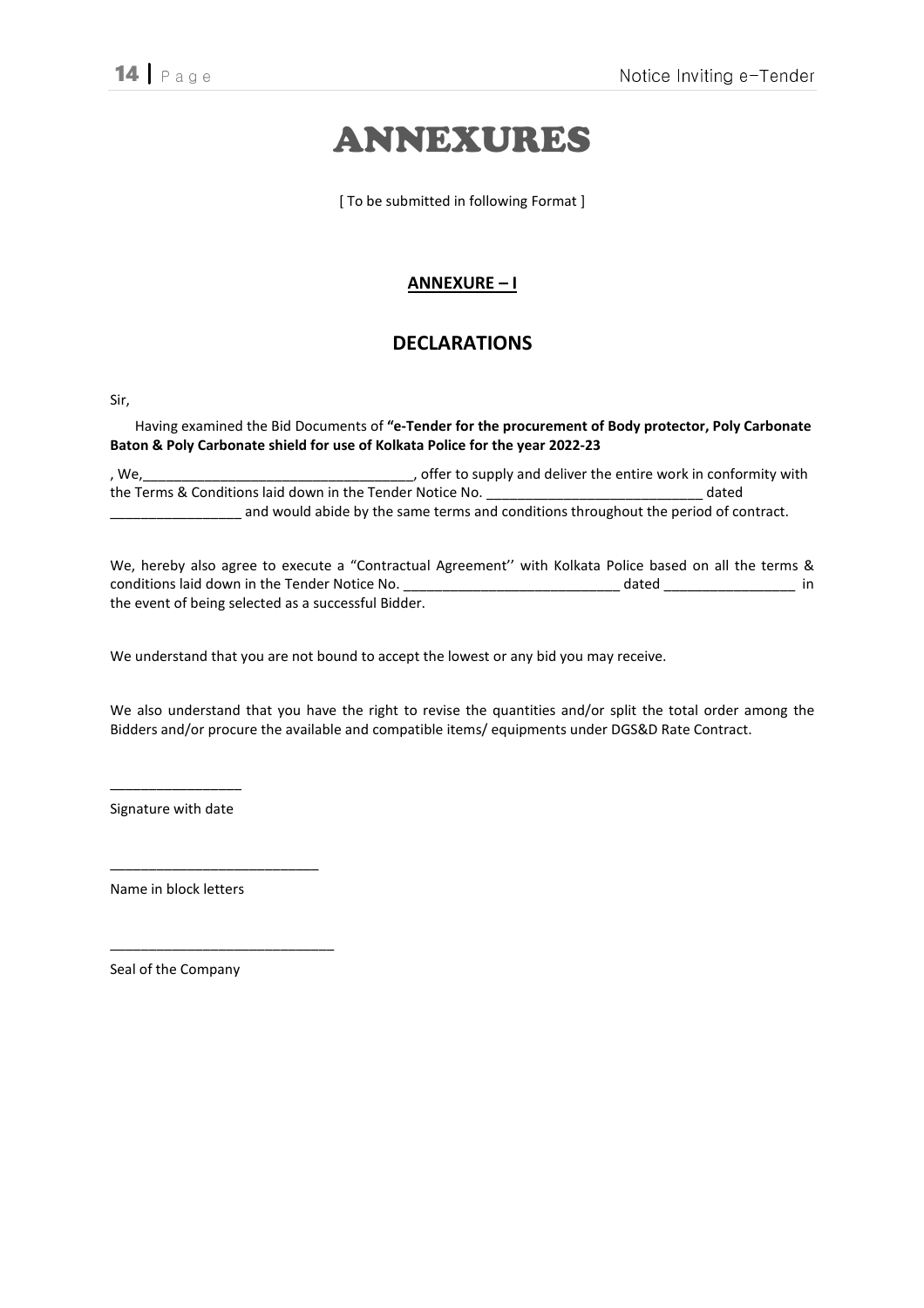# ANNEXURES

[ To be submitted in following Format ]

# ANNEXURE – I

# DECLARATIONS

Sir,

Having examined the Bid Documents of "e-Tender for the procurement of Body protector, Poly Carbonate Baton & Poly Carbonate shield for use of Kolkata Police for the year 2022-23

, We,\_\_\_\_\_\_\_\_\_\_\_\_\_\_\_\_\_\_\_\_\_\_\_\_\_\_\_\_\_\_\_\_\_\_\_, offer to supply and deliver the entire work in conformity with the Terms & Conditions laid down in the Tender Notice No. \_\_\_\_\_\_\_\_\_\_\_\_\_\_\_\_\_\_\_\_\_\_\_\_\_\_\_\_ dated \_\_\_\_\_\_\_\_\_\_\_\_\_\_\_\_\_ and would abide by the same terms and conditions throughout the period of contract.

We, hereby also agree to execute a "Contractual Agreement'' with Kolkata Police based on all the terms & conditions laid down in the Tender Notice No. \_\_\_\_\_\_\_\_\_\_\_\_\_\_\_\_\_\_\_\_\_\_\_\_\_\_\_\_\_\_\_\_\_ dated \_\_\_\_\_\_\_\_\_\_\_\_\_\_\_\_\_\_\_\_\_\_ in the event of being selected as a successful Bidder.

We understand that you are not bound to accept the lowest or any bid you may receive.

We also understand that you have the right to revise the quantities and/or split the total order among the Bidders and/or procure the available and compatible items/ equipments under DGS&D Rate Contract.

 $\overline{\phantom{a}}$  , we can also the contract of  $\overline{\phantom{a}}$ Signature with date

Name in block letters

\_\_\_\_\_\_\_\_\_\_\_\_\_\_\_\_\_\_\_\_\_\_\_\_\_\_\_

\_\_\_\_\_\_\_\_\_\_\_\_\_\_\_\_\_\_\_\_\_\_\_\_\_\_\_\_\_

Seal of the Company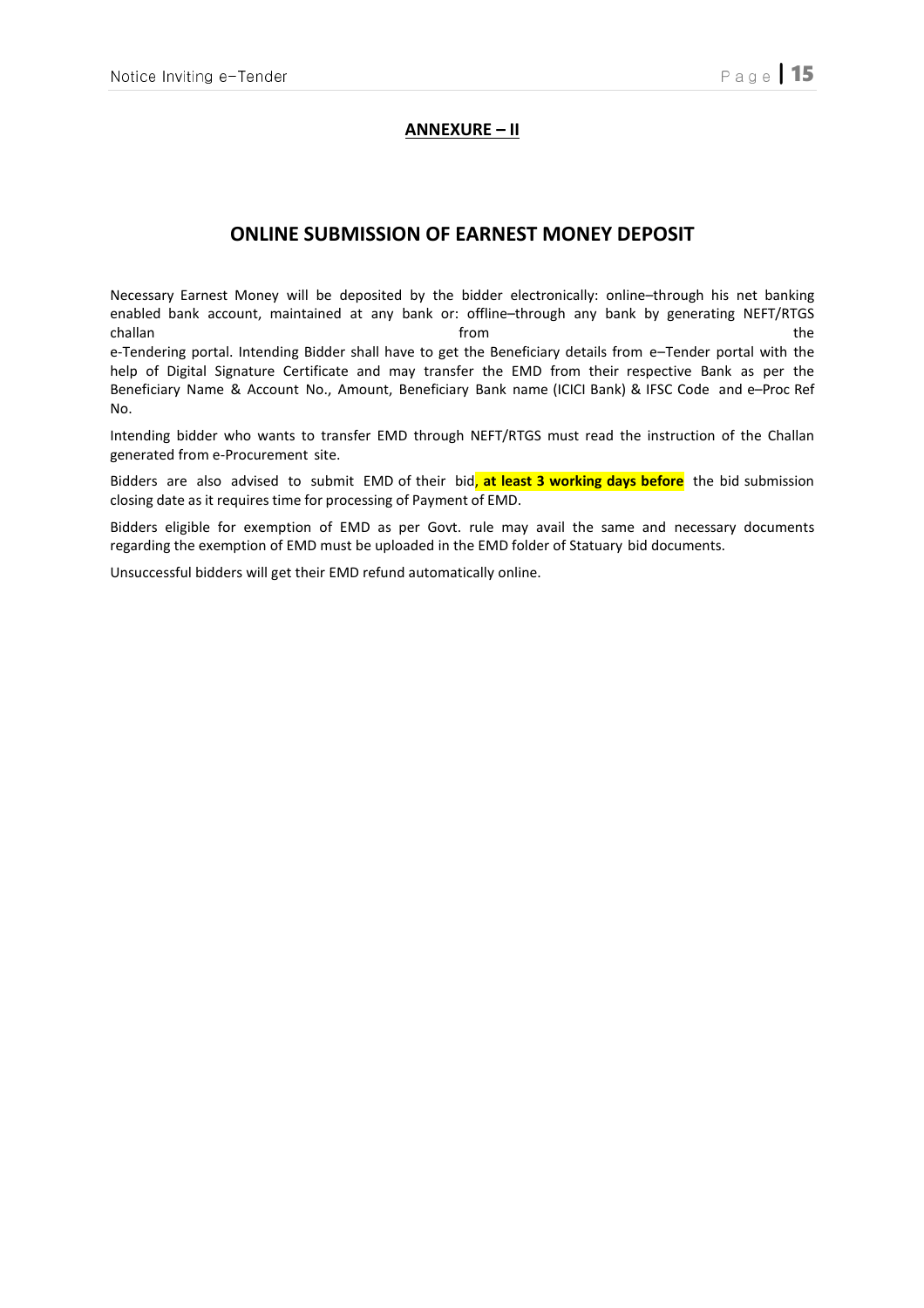## ANNEXURE – II

# ONLINE SUBMISSION OF EARNEST MONEY DEPOSIT

Necessary Earnest Money will be deposited by the bidder electronically: online–through his net banking enabled bank account, maintained at any bank or: offline–through any bank by generating NEFT/RTGS challan the challan the challan structure of the challan structure of the challan the challan structure of the e-Tendering portal. Intending Bidder shall have to get the Beneficiary details from e–Tender portal with the help of Digital Signature Certificate and may transfer the EMD from their respective Bank as per the Beneficiary Name & Account No., Amount, Beneficiary Bank name (ICICI Bank) & IFSC Code and e–Proc Ref No.

Intending bidder who wants to transfer EMD through NEFT/RTGS must read the instruction of the Challan generated from e-Procurement site.

Bidders are also advised to submit EMD of their bid, at least 3 working days before the bid submission closing date as it requires time for processing of Payment of EMD.

Bidders eligible for exemption of EMD as per Govt. rule may avail the same and necessary documents regarding the exemption of EMD must be uploaded in the EMD folder of Statuary bid documents.

Unsuccessful bidders will get their EMD refund automatically online.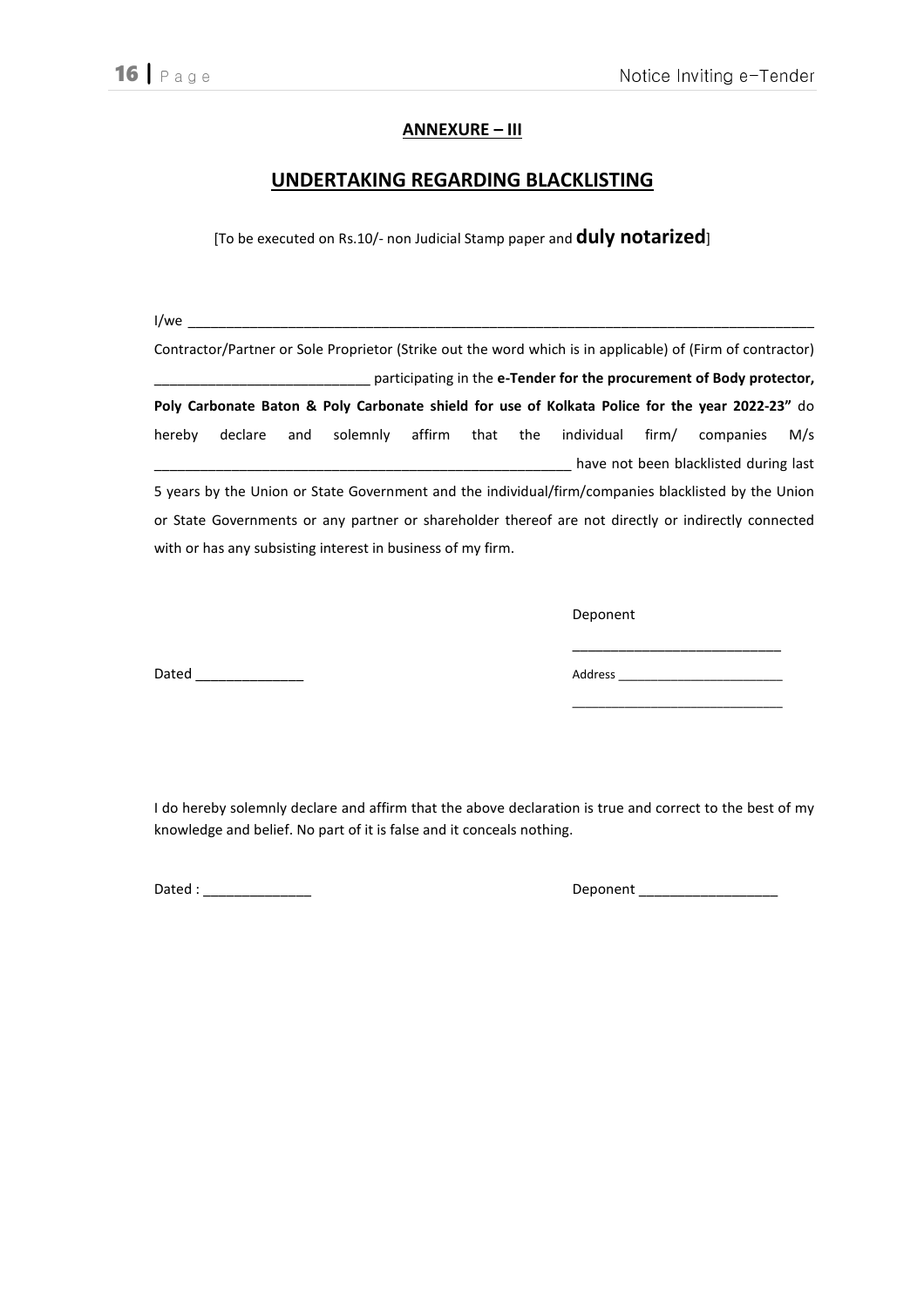# ANNEXURE – III

# UNDERTAKING REGARDING BLACKLISTING

[To be executed on Rs.10/- non Judicial Stamp paper and **duly notarized**]

 $1/we$ 

Contractor/Partner or Sole Proprietor (Strike out the word which is in applicable) of (Firm of contractor) **\_\_\_\_\_\_\_** participating in the e-Tender for the procurement of Body protector, Poly Carbonate Baton & Poly Carbonate shield for use of Kolkata Police for the year 2022-23" do hereby declare and solemnly affirm that the individual firm/ companies M/s \_\_\_\_\_\_\_\_\_\_\_\_\_\_\_\_\_\_\_\_\_\_\_\_\_\_\_\_\_\_\_\_\_\_\_\_\_\_\_\_\_\_\_\_\_\_\_\_\_\_\_\_\_\_ have not been blacklisted during last 5 years by the Union or State Government and the individual/firm/companies blacklisted by the Union

or State Governments or any partner or shareholder thereof are not directly or indirectly connected with or has any subsisting interest in business of my firm.

Deponent

Dated \_\_\_\_\_\_\_\_\_\_\_\_\_\_ Address \_\_\_\_\_\_\_\_\_\_\_\_\_\_\_\_\_\_\_\_\_\_\_\_\_

I do hereby solemnly declare and affirm that the above declaration is true and correct to the best of my knowledge and belief. No part of it is false and it conceals nothing.

Dated : \_\_\_\_\_\_\_\_\_\_\_\_\_\_ Deponent \_\_\_\_\_\_\_\_\_\_\_\_\_\_\_\_\_\_

\_\_\_\_\_\_\_\_\_\_\_\_\_\_\_\_\_\_\_\_\_\_\_\_\_\_\_

\_\_\_\_\_\_\_\_\_\_\_\_\_\_\_\_\_\_\_\_\_\_\_\_\_\_\_\_\_\_\_\_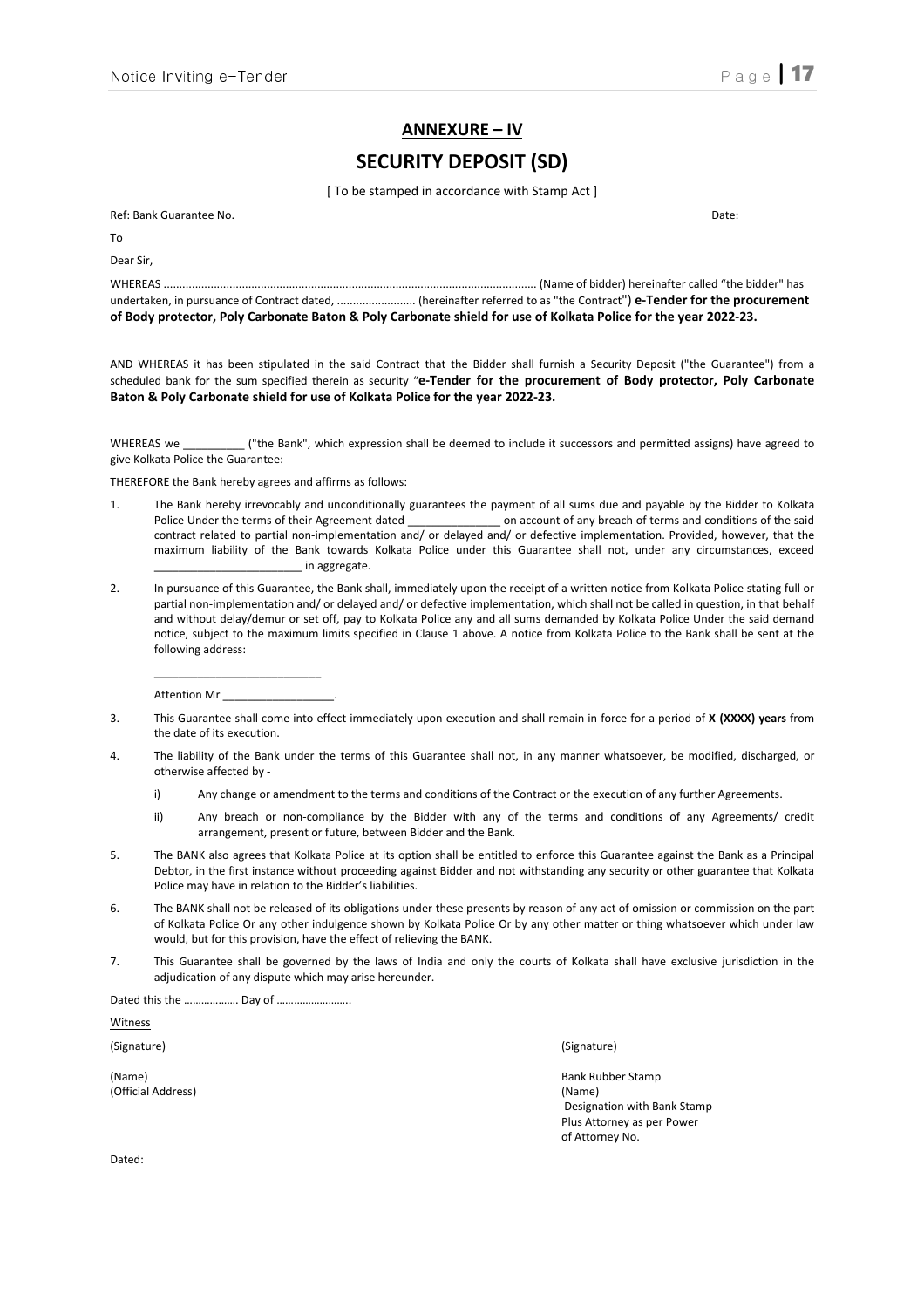#### ANNEXURE – IV

# SECURITY DEPOSIT (SD)

[ To be stamped in accordance with Stamp Act ]

Ref: Bank Guarantee No. Date: To Dear Sir, WHEREAS ....................................................................................................................... (Name of bidder) hereinafter called "the bidder" has undertaken, in pursuance of Contract dated, ......................... (hereinafter referred to as "the Contract") e-Tender for the procurement of Body protector, Poly Carbonate Baton & Poly Carbonate shield for use of Kolkata Police for the year 2022-23.

AND WHEREAS it has been stipulated in the said Contract that the Bidder shall furnish a Security Deposit ("the Guarantee") from a scheduled bank for the sum specified therein as security "e-Tender for the procurement of Body protector, Poly Carbonate Baton & Poly Carbonate shield for use of Kolkata Police for the year 2022-23.

WHEREAS we \_\_\_\_\_\_\_\_\_\_\_\_\_ ("the Bank", which expression shall be deemed to include it successors and permitted assigns) have agreed to give Kolkata Police the Guarantee:

THEREFORE the Bank hereby agrees and affirms as follows:

- 1. The Bank hereby irrevocably and unconditionally guarantees the payment of all sums due and payable by the Bidder to Kolkata Police Under the terms of their Agreement dated **on account of any breach of terms and conditions of the said** contract related to partial non-implementation and/ or delayed and/ or defective implementation. Provided, however, that the maximum liability of the Bank towards Kolkata Police under this Guarantee shall not, under any circumstances, exceed \_\_\_\_\_\_\_\_\_\_\_\_\_\_\_\_\_\_\_\_\_\_\_\_ in aggregate.
- 2. In pursuance of this Guarantee, the Bank shall, immediately upon the receipt of a written notice from Kolkata Police stating full or partial non-implementation and/ or delayed and/ or defective implementation, which shall not be called in question, in that behalf and without delay/demur or set off, pay to Kolkata Police any and all sums demanded by Kolkata Police Under the said demand notice, subject to the maximum limits specified in Clause 1 above. A notice from Kolkata Police to the Bank shall be sent at the following address:

 \_\_\_\_\_\_\_\_\_\_\_\_\_\_\_\_\_\_\_\_\_\_\_\_\_\_\_ Attention Mr

- 3. This Guarantee shall come into effect immediately upon execution and shall remain in force for a period of X (XXXX) years from the date of its execution.
- 4. The liability of the Bank under the terms of this Guarantee shall not, in any manner whatsoever, be modified, discharged, or otherwise affected by
	- i) Any change or amendment to the terms and conditions of the Contract or the execution of any further Agreements.
	- ii) Any breach or non-compliance by the Bidder with any of the terms and conditions of any Agreements/ credit arrangement, present or future, between Bidder and the Bank.
- 5. The BANK also agrees that Kolkata Police at its option shall be entitled to enforce this Guarantee against the Bank as a Principal Debtor, in the first instance without proceeding against Bidder and not withstanding any security or other guarantee that Kolkata Police may have in relation to the Bidder's liabilities.
- 6. The BANK shall not be released of its obligations under these presents by reason of any act of omission or commission on the part of Kolkata Police Or any other indulgence shown by Kolkata Police Or by any other matter or thing whatsoever which under law would, but for this provision, have the effect of relieving the BANK.
- 7. This Guarantee shall be governed by the laws of India and only the courts of Kolkata shall have exclusive jurisdiction in the adjudication of any dispute which may arise hereunder.

Dated this the ………………. Day of ……………………..

**Witness** 

(Official Address) (Name)

(Signature) (Signature)

(Name) Bank Rubber Stamp Designation with Bank Stamp Plus Attorney as per Power of Attorney No.

Dated: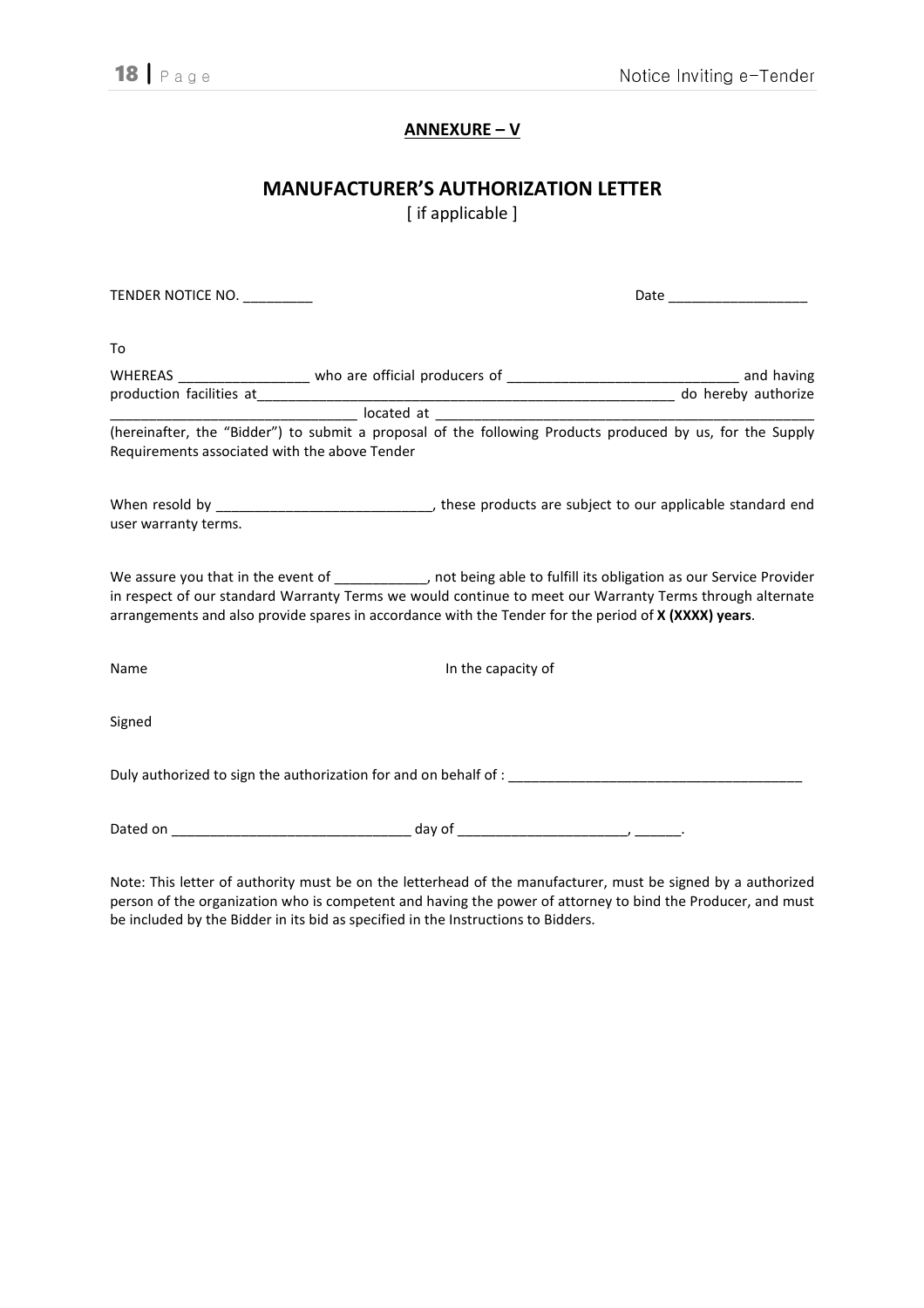# ANNEXURE – V

# MANUFACTURER'S AUTHORIZATION LETTER

[ if applicable ]

| TENDER NOTICE NO.                             | Date _____________________                                                                                                                                                                                                                                                                                                                    |  |  |  |  |
|-----------------------------------------------|-----------------------------------------------------------------------------------------------------------------------------------------------------------------------------------------------------------------------------------------------------------------------------------------------------------------------------------------------|--|--|--|--|
| To                                            |                                                                                                                                                                                                                                                                                                                                               |  |  |  |  |
|                                               | WHEREAS ____________________ who are official producers of __________________________________ and having                                                                                                                                                                                                                                      |  |  |  |  |
|                                               |                                                                                                                                                                                                                                                                                                                                               |  |  |  |  |
|                                               |                                                                                                                                                                                                                                                                                                                                               |  |  |  |  |
| Requirements associated with the above Tender | (hereinafter, the "Bidder") to submit a proposal of the following Products produced by us, for the Supply                                                                                                                                                                                                                                     |  |  |  |  |
| user warranty terms.                          |                                                                                                                                                                                                                                                                                                                                               |  |  |  |  |
|                                               | We assure you that in the event of ____________, not being able to fulfill its obligation as our Service Provider<br>in respect of our standard Warranty Terms we would continue to meet our Warranty Terms through alternate<br>arrangements and also provide spares in accordance with the Tender for the period of <b>X (XXXX) years</b> . |  |  |  |  |
| Name                                          | In the capacity of                                                                                                                                                                                                                                                                                                                            |  |  |  |  |
| Signed                                        |                                                                                                                                                                                                                                                                                                                                               |  |  |  |  |
|                                               |                                                                                                                                                                                                                                                                                                                                               |  |  |  |  |
|                                               |                                                                                                                                                                                                                                                                                                                                               |  |  |  |  |
|                                               |                                                                                                                                                                                                                                                                                                                                               |  |  |  |  |

Note: This letter of authority must be on the letterhead of the manufacturer, must be signed by a authorized person of the organization who is competent and having the power of attorney to bind the Producer, and must be included by the Bidder in its bid as specified in the Instructions to Bidders.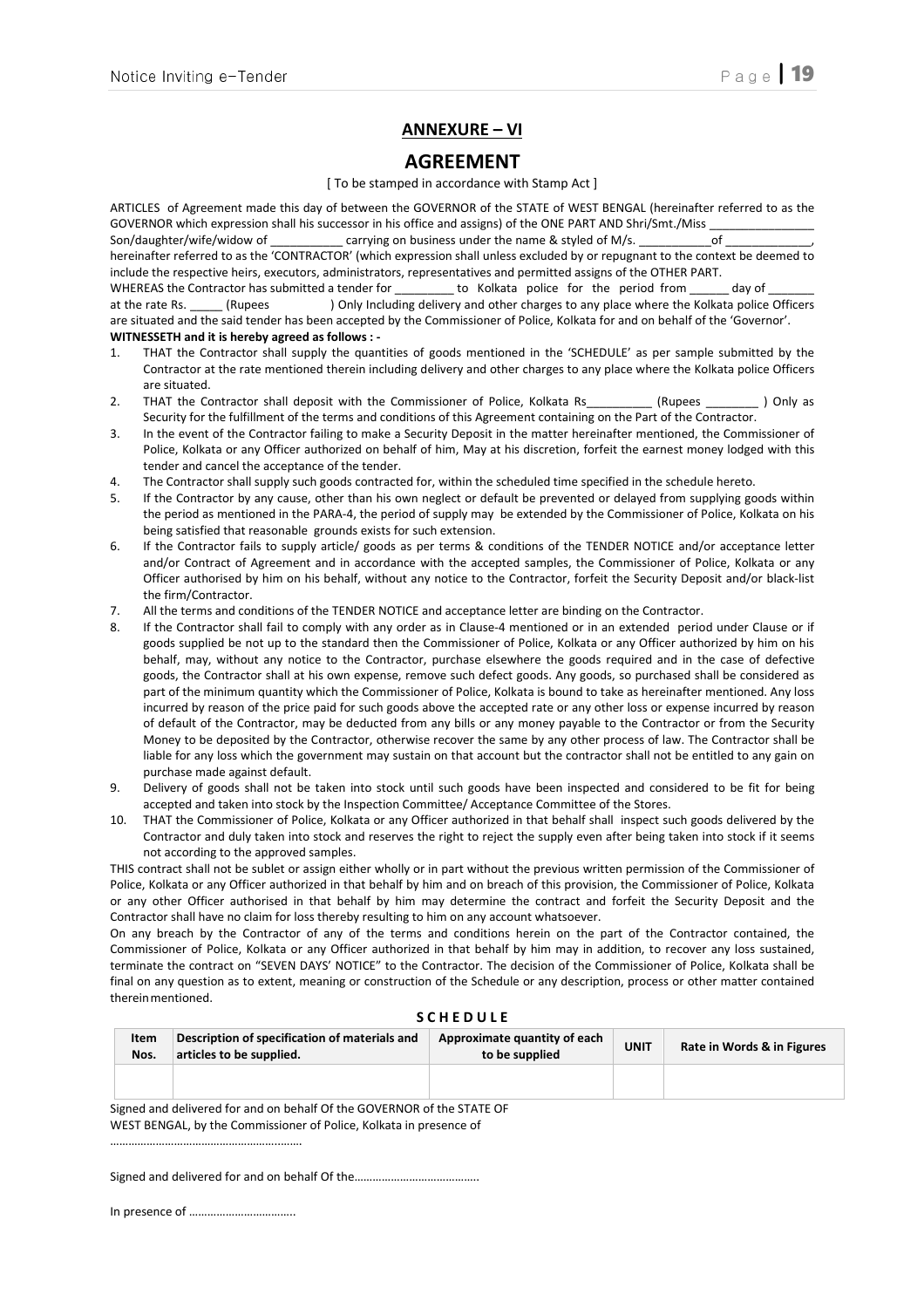## ANNEXURE – VI

### AGREEMENT

#### [ To be stamped in accordance with Stamp Act ]

ARTICLES of Agreement made this day of between the GOVERNOR of the STATE of WEST BENGAL (hereinafter referred to as the GOVERNOR which expression shall his successor in his office and assigns) of the ONE PART AND Shri/Smt./Miss \_\_\_\_\_\_\_\_\_\_\_\_\_\_\_\_

Son/daughter/wife/widow of \_\_\_\_\_\_\_\_\_\_\_ carrying on business under the name & styled of M/s. hereinafter referred to as the 'CONTRACTOR' (which expression shall unless excluded by or repugnant to the context be deemed to include the respective heirs, executors, administrators, representatives and permitted assigns of the OTHER PART.

WHEREAS the Contractor has submitted a tender for  $\qquad \qquad$  to Kolkata police for the period from a day of at the rate Rs. \_\_\_\_\_ (Rupees ) Only Including delivery and other charges to any place where the Kolkata police Officers are situated and the said tender has been accepted by the Commissioner of Police, Kolkata for and on behalf of the 'Governor'. WITNESSETH and it is hereby agreed as follows : -

- 1. THAT the Contractor shall supply the quantities of goods mentioned in the 'SCHEDULE' as per sample submitted by the Contractor at the rate mentioned therein including delivery and other charges to any place where the Kolkata police Officers are situated.
- 2. THAT the Contractor shall deposit with the Commissioner of Police, Kolkata Rs (Rupees ) Only as Security for the fulfillment of the terms and conditions of this Agreement containing on the Part of the Contractor.
- 3. In the event of the Contractor failing to make a Security Deposit in the matter hereinafter mentioned, the Commissioner of Police, Kolkata or any Officer authorized on behalf of him, May at his discretion, forfeit the earnest money lodged with this tender and cancel the acceptance of the tender.
- 4. The Contractor shall supply such goods contracted for, within the scheduled time specified in the schedule hereto.
- 5. If the Contractor by any cause, other than his own neglect or default be prevented or delayed from supplying goods within the period as mentioned in the PARA-4, the period of supply may be extended by the Commissioner of Police, Kolkata on his being satisfied that reasonable grounds exists for such extension.
- 6. If the Contractor fails to supply article/ goods as per terms & conditions of the TENDER NOTICE and/or acceptance letter and/or Contract of Agreement and in accordance with the accepted samples, the Commissioner of Police, Kolkata or any Officer authorised by him on his behalf, without any notice to the Contractor, forfeit the Security Deposit and/or black-list the firm/Contractor.
- 7. All the terms and conditions of the TENDER NOTICE and acceptance letter are binding on the Contractor.
- 8. If the Contractor shall fail to comply with any order as in Clause-4 mentioned or in an extended period under Clause or if goods supplied be not up to the standard then the Commissioner of Police, Kolkata or any Officer authorized by him on his behalf, may, without any notice to the Contractor, purchase elsewhere the goods required and in the case of defective goods, the Contractor shall at his own expense, remove such defect goods. Any goods, so purchased shall be considered as part of the minimum quantity which the Commissioner of Police, Kolkata is bound to take as hereinafter mentioned. Any loss incurred by reason of the price paid for such goods above the accepted rate or any other loss or expense incurred by reason of default of the Contractor, may be deducted from any bills or any money payable to the Contractor or from the Security Money to be deposited by the Contractor, otherwise recover the same by any other process of law. The Contractor shall be liable for any loss which the government may sustain on that account but the contractor shall not be entitled to any gain on purchase made against default.
- 9. Delivery of goods shall not be taken into stock until such goods have been inspected and considered to be fit for being accepted and taken into stock by the Inspection Committee/ Acceptance Committee of the Stores.
- 10. THAT the Commissioner of Police, Kolkata or any Officer authorized in that behalf shall inspect such goods delivered by the Contractor and duly taken into stock and reserves the right to reject the supply even after being taken into stock if it seems not according to the approved samples.

THIS contract shall not be sublet or assign either wholly or in part without the previous written permission of the Commissioner of Police, Kolkata or any Officer authorized in that behalf by him and on breach of this provision, the Commissioner of Police, Kolkata or any other Officer authorised in that behalf by him may determine the contract and forfeit the Security Deposit and the Contractor shall have no claim for loss thereby resulting to him on any account whatsoever.

On any breach by the Contractor of any of the terms and conditions herein on the part of the Contractor contained, the Commissioner of Police, Kolkata or any Officer authorized in that behalf by him may in addition, to recover any loss sustained, terminate the contract on "SEVEN DAYS' NOTICE" to the Contractor. The decision of the Commissioner of Police, Kolkata shall be final on any question as to extent, meaning or construction of the Schedule or any description, process or other matter contained therein mentioned.

#### **S C H E D U L E**

| Item<br>Nos. | Description of specification of materials and<br>articles to be supplied. | Approximate quantity of each<br>to be supplied | <b>UNIT</b> | Rate in Words & in Figures |
|--------------|---------------------------------------------------------------------------|------------------------------------------------|-------------|----------------------------|
|              |                                                                           |                                                |             |                            |

Signed and delivered for and on behalf Of the GOVERNOR of the STATE OF WEST BENGAL, by the Commissioner of Police, Kolkata in presence of

Signed and delivered for and on behalf Of the……………………………………………………………………………………………

In presence of ……………………………..

………………………………………………..…….